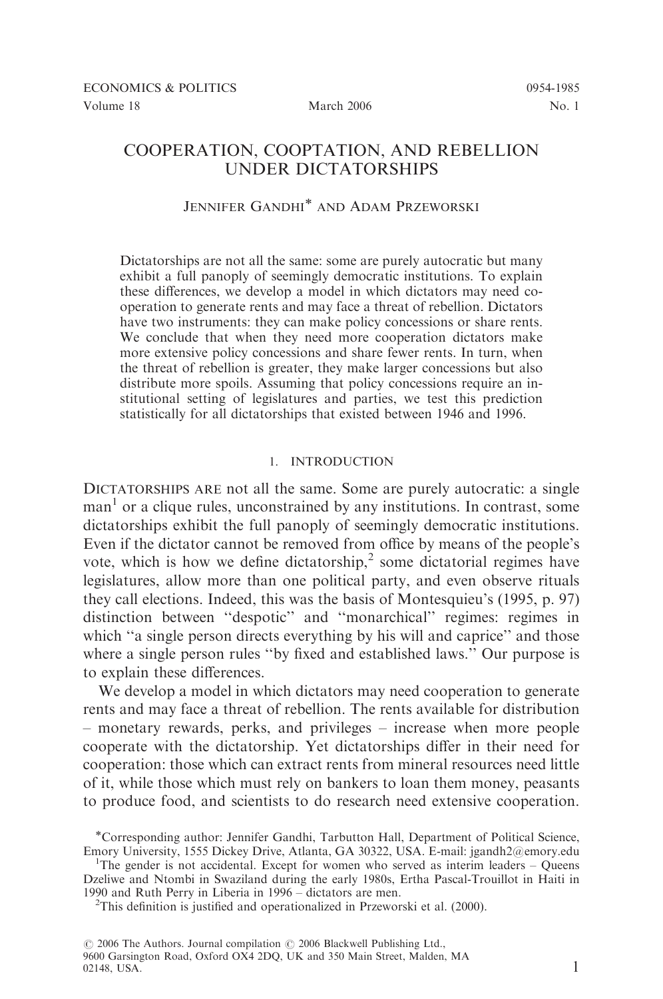# COOPERATION, COOPTATION, AND REBELLION UNDER DICTATORSHIPS

# **JENNIFER GANDHI<sup>\*</sup> AND ADAM PRZEWORSKI**

Dictatorships are not all the same: some are purely autocratic but many exhibit a full panoply of seemingly democratic institutions. To explain these differences, we develop a model in which dictators may need cooperation to generate rents and may face a threat of rebellion. Dictators have two instruments: they can make policy concessions or share rents. We conclude that when they need more cooperation dictators make more extensive policy concessions and share fewer rents. In turn, when the threat of rebellion is greater, they make larger concessions but also distribute more spoils. Assuming that policy concessions require an institutional setting of legislatures and parties, we test this prediction statistically for all dictatorships that existed between 1946 and 1996.

### 1. INTRODUCTION

DICTATORSHIPS ARE not all the same. Some are purely autocratic: a single  $man<sup>1</sup>$  or a clique rules, unconstrained by any institutions. In contrast, some dictatorships exhibit the full panoply of seemingly democratic institutions. Even if the dictator cannot be removed from office by means of the people's vote, which is how we define dictatorship, $\frac{2}{3}$  some dictatorial regimes have legislatures, allow more than one political party, and even observe rituals they call elections. Indeed, this was the basis of Montesquieu's (1995, p. 97) distinction between ''despotic'' and ''monarchical'' regimes: regimes in which "a single person directs everything by his will and caprice" and those where a single person rules "by fixed and established laws." Our purpose is to explain these differences.

We develop a model in which dictators may need cooperation to generate rents and may face a threat of rebellion. The rents available for distribution – monetary rewards, perks, and privileges – increase when more people cooperate with the dictatorship. Yet dictatorships differ in their need for cooperation: those which can extract rents from mineral resources need little of it, while those which must rely on bankers to loan them money, peasants to produce food, and scientists to do research need extensive cooperation.

<sup>2</sup>This definition is justified and operationalized in Przeworski et al. (2000).

Corresponding author: Jennifer Gandhi, Tarbutton Hall, Department of Political Science, Emory University, 1555 Dickey Drive, Atlanta, GA 30322, USA. E-mail: jgandh2@emory.edu <sup>1</sup>

<sup>&</sup>lt;sup>1</sup>The gender is not accidental. Except for women who served as interim leaders – Queens Dzeliwe and Ntombi in Swaziland during the early 1980s, Ertha Pascal-Trouillot in Haiti in 1990 and Ruth Perry in Liberia in 1996 – dictators are men. <sup>2</sup>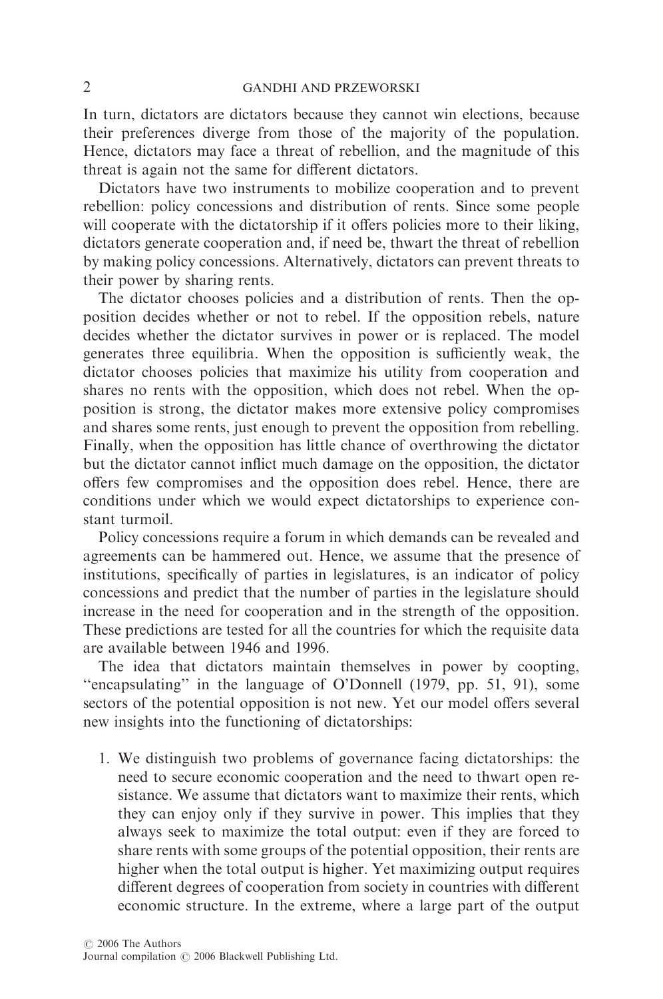In turn, dictators are dictators because they cannot win elections, because their preferences diverge from those of the majority of the population. Hence, dictators may face a threat of rebellion, and the magnitude of this threat is again not the same for different dictators.

Dictators have two instruments to mobilize cooperation and to prevent rebellion: policy concessions and distribution of rents. Since some people will cooperate with the dictatorship if it offers policies more to their liking, dictators generate cooperation and, if need be, thwart the threat of rebellion by making policy concessions. Alternatively, dictators can prevent threats to their power by sharing rents.

The dictator chooses policies and a distribution of rents. Then the opposition decides whether or not to rebel. If the opposition rebels, nature decides whether the dictator survives in power or is replaced. The model generates three equilibria. When the opposition is sufficiently weak, the dictator chooses policies that maximize his utility from cooperation and shares no rents with the opposition, which does not rebel. When the opposition is strong, the dictator makes more extensive policy compromises and shares some rents, just enough to prevent the opposition from rebelling. Finally, when the opposition has little chance of overthrowing the dictator but the dictator cannot inflict much damage on the opposition, the dictator offers few compromises and the opposition does rebel. Hence, there are conditions under which we would expect dictatorships to experience constant turmoil.

Policy concessions require a forum in which demands can be revealed and agreements can be hammered out. Hence, we assume that the presence of institutions, specifically of parties in legislatures, is an indicator of policy concessions and predict that the number of parties in the legislature should increase in the need for cooperation and in the strength of the opposition. These predictions are tested for all the countries for which the requisite data are available between 1946 and 1996.

The idea that dictators maintain themselves in power by coopting, ''encapsulating'' in the language of O'Donnell (1979, pp. 51, 91), some sectors of the potential opposition is not new. Yet our model offers several new insights into the functioning of dictatorships:

1. We distinguish two problems of governance facing dictatorships: the need to secure economic cooperation and the need to thwart open resistance. We assume that dictators want to maximize their rents, which they can enjoy only if they survive in power. This implies that they always seek to maximize the total output: even if they are forced to share rents with some groups of the potential opposition, their rents are higher when the total output is higher. Yet maximizing output requires different degrees of cooperation from society in countries with different economic structure. In the extreme, where a large part of the output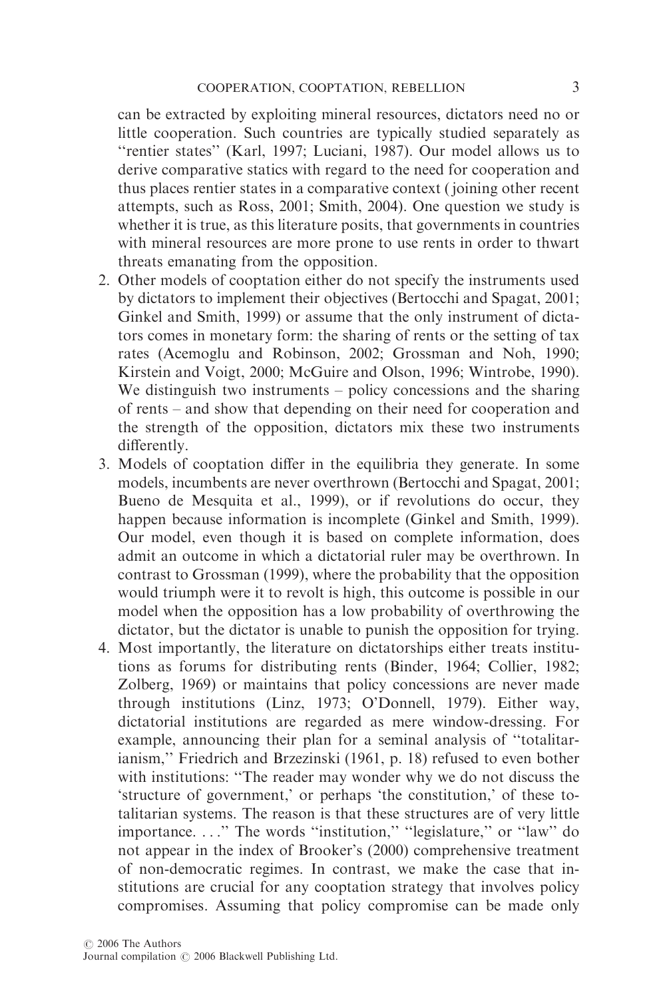can be extracted by exploiting mineral resources, dictators need no or little cooperation. Such countries are typically studied separately as ''rentier states'' (Karl, 1997; Luciani, 1987). Our model allows us to derive comparative statics with regard to the need for cooperation and thus places rentier states in a comparative context ( joining other recent attempts, such as Ross, 2001; Smith, 2004). One question we study is whether it is true, as this literature posits, that governments in countries with mineral resources are more prone to use rents in order to thwart threats emanating from the opposition.

- 2. Other models of cooptation either do not specify the instruments used by dictators to implement their objectives (Bertocchi and Spagat, 2001; Ginkel and Smith, 1999) or assume that the only instrument of dictators comes in monetary form: the sharing of rents or the setting of tax rates (Acemoglu and Robinson, 2002; Grossman and Noh, 1990; Kirstein and Voigt, 2000; McGuire and Olson, 1996; Wintrobe, 1990). We distinguish two instruments – policy concessions and the sharing of rents – and show that depending on their need for cooperation and the strength of the opposition, dictators mix these two instruments differently.
- 3. Models of cooptation differ in the equilibria they generate. In some models, incumbents are never overthrown (Bertocchi and Spagat, 2001; Bueno de Mesquita et al., 1999), or if revolutions do occur, they happen because information is incomplete (Ginkel and Smith, 1999). Our model, even though it is based on complete information, does admit an outcome in which a dictatorial ruler may be overthrown. In contrast to Grossman (1999), where the probability that the opposition would triumph were it to revolt is high, this outcome is possible in our model when the opposition has a low probability of overthrowing the dictator, but the dictator is unable to punish the opposition for trying.
- 4. Most importantly, the literature on dictatorships either treats institutions as forums for distributing rents (Binder, 1964; Collier, 1982; Zolberg, 1969) or maintains that policy concessions are never made through institutions (Linz, 1973; O'Donnell, 1979). Either way, dictatorial institutions are regarded as mere window-dressing. For example, announcing their plan for a seminal analysis of ''totalitarianism,'' Friedrich and Brzezinski (1961, p. 18) refused to even bother with institutions: "The reader may wonder why we do not discuss the 'structure of government,' or perhaps 'the constitution,' of these totalitarian systems. The reason is that these structures are of very little importance. . . .'' The words ''institution,'' ''legislature,'' or ''law'' do not appear in the index of Brooker's (2000) comprehensive treatment of non-democratic regimes. In contrast, we make the case that institutions are crucial for any cooptation strategy that involves policy compromises. Assuming that policy compromise can be made only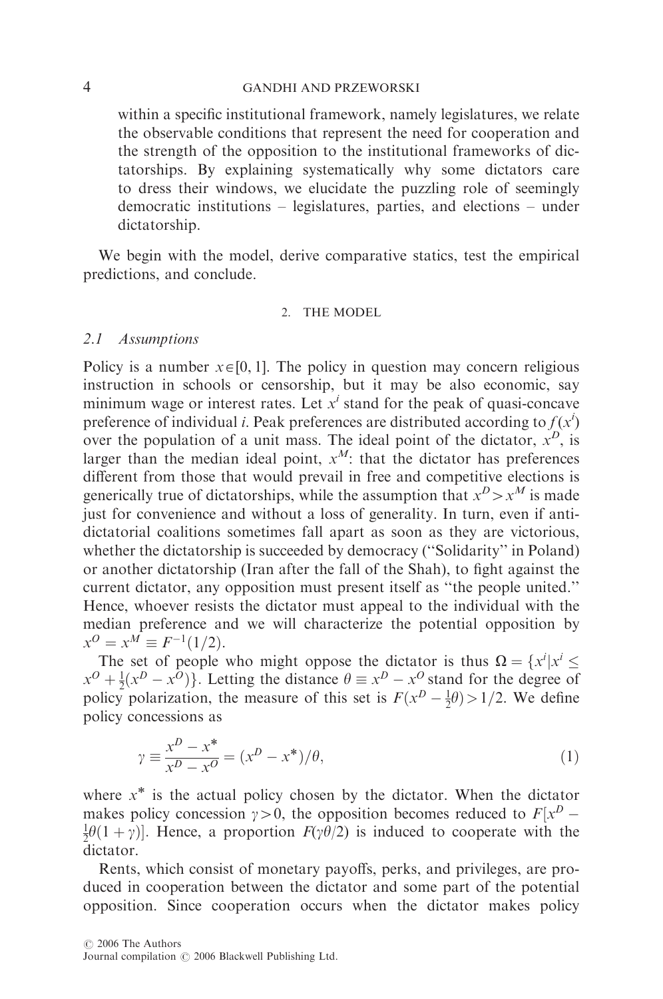# 4 GANDHI AND PRZEWORSKI

within a specific institutional framework, namely legislatures, we relate the observable conditions that represent the need for cooperation and the strength of the opposition to the institutional frameworks of dictatorships. By explaining systematically why some dictators care to dress their windows, we elucidate the puzzling role of seemingly democratic institutions – legislatures, parties, and elections – under dictatorship.

We begin with the model, derive comparative statics, test the empirical predictions, and conclude.

#### 2. THE MODEL

# 2.1 Assumptions

Policy is a number  $x \in [0, 1]$ . The policy in question may concern religious instruction in schools or censorship, but it may be also economic, say minimum wage or interest rates. Let  $x^i$  stand for the peak of quasi-concave preference of individual *i*. Peak preferences are distributed according to  $f(x^i)$ over the population of a unit mass. The ideal point of the dictator,  $x^D$ , is larger than the median ideal point,  $x^M$ : that the dictator has preferences different from those that would prevail in free and competitive elections is generically true of dictatorships, while the assumption that  $x^D > x^M$  is made just for convenience and without a loss of generality. In turn, even if antidictatorial coalitions sometimes fall apart as soon as they are victorious, whether the dictatorship is succeeded by democracy ("Solidarity" in Poland) or another dictatorship (Iran after the fall of the Shah), to fight against the current dictator, any opposition must present itself as ''the people united.'' Hence, whoever resists the dictator must appeal to the individual with the median preference and we will characterize the potential opposition by  $x^0 = x^M \equiv F^{-1}(1/2).$ 

The set of people who might oppose the dictator is thus  $\Omega = \{x^i | x^i \leq \}$  $x^{O} + \frac{1}{2}(x^{D} - x^{O})$ . Letting the distance  $\theta \equiv x^{D} - x^{O}$  stand for the degree of policy polarization, the measure of this set is  $F(x^D - \frac{1}{2}\theta) > 1/2$ . We define policy concessions as

$$
\gamma \equiv \frac{x^D - x^*}{x^D - x^O} = (x^D - x^*)/\theta,
$$
\n(1)

where  $x^*$  is the actual policy chosen by the dictator. When the dictator makes policy concession  $\gamma > 0$ , the opposition becomes reduced to  $F[x^D \frac{1}{2}\theta(1+\gamma)$ . Hence, a proportion  $F(\gamma\theta/2)$  is induced to cooperate with the dictator.

Rents, which consist of monetary payoffs, perks, and privileges, are produced in cooperation between the dictator and some part of the potential opposition. Since cooperation occurs when the dictator makes policy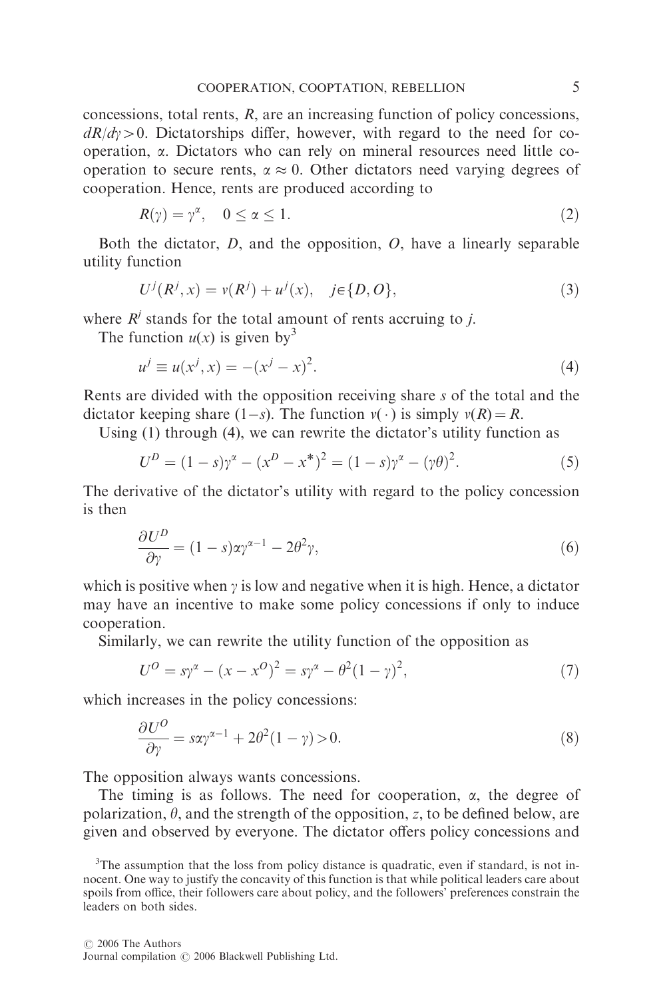concessions, total rents,  $R$ , are an increasing function of policy concessions,  $dR/dy > 0$ . Dictatorships differ, however, with regard to the need for cooperation, a. Dictators who can rely on mineral resources need little cooperation to secure rents,  $\alpha \approx 0$ . Other dictators need varying degrees of cooperation. Hence, rents are produced according to

$$
R(\gamma) = \gamma^{\alpha}, \quad 0 \le \alpha \le 1. \tag{2}
$$

Both the dictator,  $D$ , and the opposition,  $D$ , have a linearly separable utility function

$$
U^{j}(R^{j}, x) = v(R^{j}) + u^{j}(x), \quad j \in \{D, O\},
$$
\n(3)

where  $R^j$  stands for the total amount of rents accruing to j.

The function  $u(x)$  is given by<sup>3</sup>

$$
u^{j} \equiv u(x^{j}, x) = -(x^{j} - x)^{2}.
$$
 (4)

Rents are divided with the opposition receiving share s of the total and the dictator keeping share (1–s). The function  $v(\cdot)$  is simply  $v(R) = R$ .

Using (1) through (4), we can rewrite the dictator's utility function as

$$
U^{D} = (1 - s)\gamma^{\alpha} - (x^{D} - x^{*})^{2} = (1 - s)\gamma^{\alpha} - (\gamma\theta)^{2}.
$$
 (5)

The derivative of the dictator's utility with regard to the policy concession is then

$$
\frac{\partial U^D}{\partial \gamma} = (1 - s) \alpha \gamma^{\alpha - 1} - 2\theta^2 \gamma,\tag{6}
$$

which is positive when  $\gamma$  is low and negative when it is high. Hence, a dictator may have an incentive to make some policy concessions if only to induce cooperation.

Similarly, we can rewrite the utility function of the opposition as

$$
U^{O} = s\gamma^{\alpha} - (x - x^{O})^{2} = s\gamma^{\alpha} - \theta^{2}(1 - \gamma)^{2},
$$
\n(7)

which increases in the policy concessions:

$$
\frac{\partial U^O}{\partial \gamma} = s\alpha \gamma^{\alpha - 1} + 2\theta^2 (1 - \gamma) > 0.
$$
\n(8)

The opposition always wants concessions.

The timing is as follows. The need for cooperation,  $\alpha$ , the degree of polarization,  $\theta$ , and the strength of the opposition, z, to be defined below, are given and observed by everyone. The dictator offers policy concessions and

<sup>&</sup>lt;sup>3</sup>The assumption that the loss from policy distance is quadratic, even if standard, is not innocent. One way to justify the concavity of this function is that while political leaders care about spoils from office, their followers care about policy, and the followers' preferences constrain the leaders on both sides.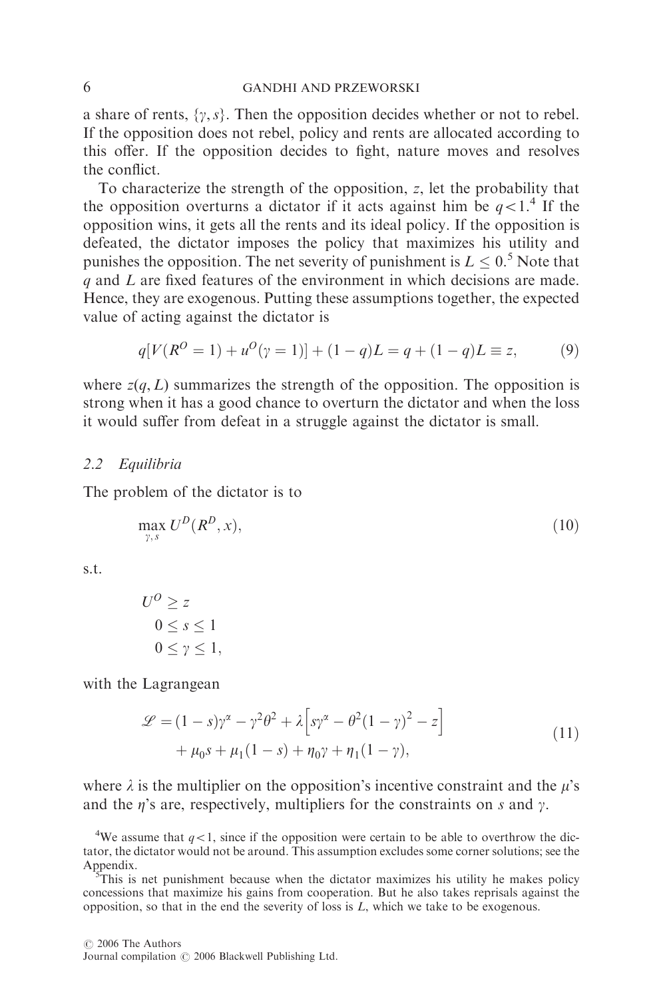a share of rents,  $\{y, s\}$ . Then the opposition decides whether or not to rebel. If the opposition does not rebel, policy and rents are allocated according to this offer. If the opposition decides to fight, nature moves and resolves the conflict.

To characterize the strength of the opposition, z, let the probability that the opposition overturns a dictator if it acts against him be  $q<1<sup>4</sup>$ . If the opposition wins, it gets all the rents and its ideal policy. If the opposition is defeated, the dictator imposes the policy that maximizes his utility and punishes the opposition. The net severity of punishment is  $L < 0.5$  Note that  $q$  and  $L$  are fixed features of the environment in which decisions are made. Hence, they are exogenous. Putting these assumptions together, the expected value of acting against the dictator is

$$
q[V(R^{O} = 1) + u^{O}(\gamma = 1)] + (1 - q)L = q + (1 - q)L \equiv z,
$$
\n(9)

where  $z(q, L)$  summarizes the strength of the opposition. The opposition is strong when it has a good chance to overturn the dictator and when the loss it would suffer from defeat in a struggle against the dictator is small.

### 2.2 Equilibria

The problem of the dictator is to

$$
\max_{\gamma,s} U^D(R^D,x),\tag{10}
$$

s.t.

$$
U^{O} \geq z
$$
  
0 \leq s \leq 1  
0 \leq \gamma \leq 1,

with the Lagrangean

$$
\mathcal{L} = (1 - s)\gamma^{\alpha} - \gamma^{2}\theta^{2} + \lambda \left[s\gamma^{\alpha} - \theta^{2}(1 - \gamma)^{2} - z\right] + \mu_{0}s + \mu_{1}(1 - s) + \eta_{0}\gamma + \eta_{1}(1 - \gamma),
$$
\n(11)

where  $\lambda$  is the multiplier on the opposition's incentive constraint and the  $\mu$ 's and the  $\eta$ 's are, respectively, multipliers for the constraints on s and  $\gamma$ .

<sup>&</sup>lt;sup>4</sup>We assume that  $q<1$ , since if the opposition were certain to be able to overthrow the dictator, the dictator would not be around. This assumption excludes some corner solutions; see the Appendix.

This is net punishment because when the dictator maximizes his utility he makes policy concessions that maximize his gains from cooperation. But he also takes reprisals against the opposition, so that in the end the severity of loss is  $L$ , which we take to be exogenous.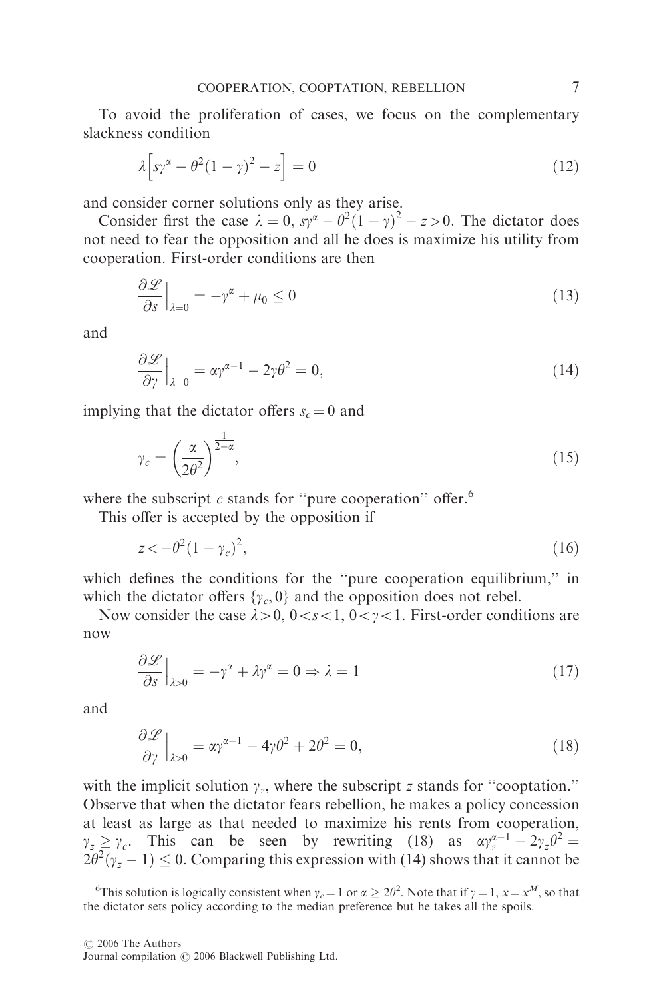To avoid the proliferation of cases, we focus on the complementary slackness condition

$$
\lambda \left[ s\gamma^{\alpha} - \theta^2 (1 - \gamma)^2 - z \right] = 0 \tag{12}
$$

and consider corner solutions only as they arise.

Consider first the case  $\lambda = 0$ ,  $s\gamma^{\alpha} - \theta^2(1 - \gamma)^2 - z > 0$ . The dictator does not need to fear the opposition and all he does is maximize his utility from cooperation. First-order conditions are then

$$
\frac{\partial \mathcal{L}}{\partial s}\Big|_{\lambda=0} = -\gamma^{\alpha} + \mu_0 \le 0 \tag{13}
$$

and

$$
\frac{\partial \mathcal{L}}{\partial \gamma}\Big|_{\lambda=0} = \alpha \gamma^{\alpha-1} - 2\gamma \theta^2 = 0, \tag{14}
$$

implying that the dictator offers  $s_c = 0$  and

$$
\gamma_c = \left(\frac{\alpha}{2\theta^2}\right)^{\frac{1}{2-\alpha}},\tag{15}
$$

where the subscript  $c$  stands for "pure cooperation" offer.<sup>6</sup>

This offer is accepted by the opposition if

$$
z \le -\theta^2 (1 - \gamma_c)^2,\tag{16}
$$

which defines the conditions for the "pure cooperation equilibrium," in which the dictator offers  $\{y_c, 0\}$  and the opposition does not rebel.

Now consider the case  $\lambda > 0$ ,  $0 < s < 1$ ,  $0 < \gamma < 1$ . First-order conditions are now

$$
\frac{\partial \mathcal{L}}{\partial s}\Big|_{\lambda>0} = -\gamma^{\alpha} + \lambda \gamma^{\alpha} = 0 \Rightarrow \lambda = 1 \tag{17}
$$

and

$$
\frac{\partial \mathcal{L}}{\partial \gamma}\Big|_{\lambda>0} = \alpha \gamma^{\alpha-1} - 4\gamma \theta^2 + 2\theta^2 = 0,
$$
\n(18)

with the implicit solution  $\gamma_z$ , where the subscript z stands for "cooptation." Observe that when the dictator fears rebellion, he makes a policy concession at least as large as that needed to maximize his rents from cooperation,  $\gamma_z \geq \gamma_c$ . This can be seen by rewriting (18) as  $\alpha \gamma_z^{\alpha-1} - 2\gamma_z \theta^2 =$  $2\theta^2(\gamma_z - 1) \leq 0$ . Comparing this expression with (14) shows that it cannot be

<sup>6</sup>This solution is logically consistent when  $\gamma_c = 1$  or  $\alpha \geq 2\theta^2$ . Note that if  $\gamma = 1$ ,  $x = x^M$ , so that the dictator sets policy according to the median preference but he takes all the spoils.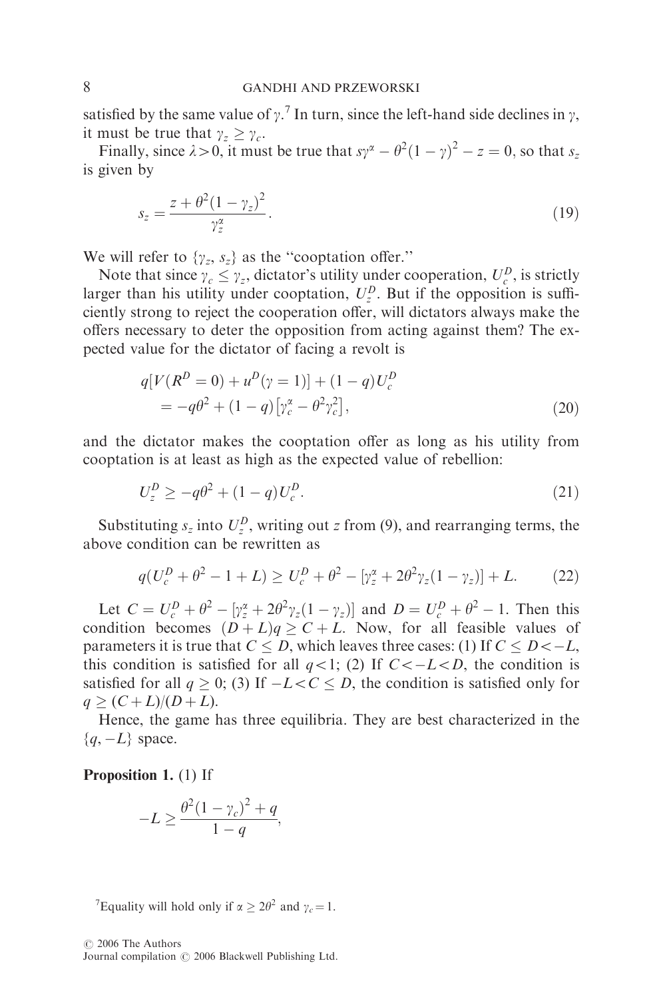satisfied by the same value of  $\gamma$ .<sup>7</sup> In turn, since the left-hand side declines in  $\gamma$ , it must be true that  $\gamma_z \geq \gamma_c$ .

Finally, since  $\lambda > 0$ , it must be true that  $s\gamma^{\alpha} - \theta^2(1 - \gamma)^2 - z = 0$ , so that  $s_z$ is given by

$$
s_z = \frac{z + \theta^2 (1 - \gamma_z)^2}{\gamma_z^2}.
$$
\n<sup>(19)</sup>

We will refer to  $\{y_z, s_z\}$  as the "cooptation offer."

Note that since  $\gamma_c \leq \gamma_z$ , dictator's utility under cooperation,  $U_c^D$ , is strictly larger than his utility under cooptation,  $U_2^D$ . But if the opposition is sufficiently strong to reject the cooperation offer, will dictators always make the offers necessary to deter the opposition from acting against them? The expected value for the dictator of facing a revolt is

$$
q[V(R^{D} = 0) + u^{D}(\gamma = 1)] + (1 - q)U_{c}^{D}
$$
  
=  $-q\theta^{2} + (1 - q)[\gamma_{c}^{*} - \theta^{2}\gamma_{c}^{2}],$  (20)

and the dictator makes the cooptation offer as long as his utility from cooptation is at least as high as the expected value of rebellion:

$$
U_z^D \ge -q\theta^2 + (1-q)U_c^D. \tag{21}
$$

Substituting  $s_z$  into  $U_z^D$ , writing out z from (9), and rearranging terms, the above condition can be rewritten as

$$
q(U_c^D + \theta^2 - 1 + L) \ge U_c^D + \theta^2 - [\gamma_z^{\alpha} + 2\theta^2 \gamma_z (1 - \gamma_z)] + L. \tag{22}
$$

Let  $C = U_c^D + \theta^2 - [\gamma_z^{\alpha} + 2\theta^2 \gamma_z (1 - \gamma_z)]$  and  $D = U_c^D + \theta^2 - 1$ . Then this condition becomes  $(D+L)q \ge C+L$ . Now, for all feasible values of parameters it is true that  $C \leq D,$  which leaves three cases: (1) If  $C \leq D \! < \! -L,$ this condition is satisfied for all  $q<1$ ; (2) If  $C<-L < D$ , the condition is satisfied for all  $q \ge 0$ ; (3) If  $-L < C \le D$ , the condition is satisfied only for  $q > (C + L)/(D + L).$ 

Hence, the game has three equilibria. They are best characterized in the  $\{q, -L\}$  space.

Proposition 1. (1) If

$$
-L \ge \frac{\theta^2 (1 - \gamma_c)^2 + q}{1 - q},
$$

<sup>7</sup>Equality will hold only if  $\alpha \ge 2\theta^2$  and  $\gamma_c = 1$ .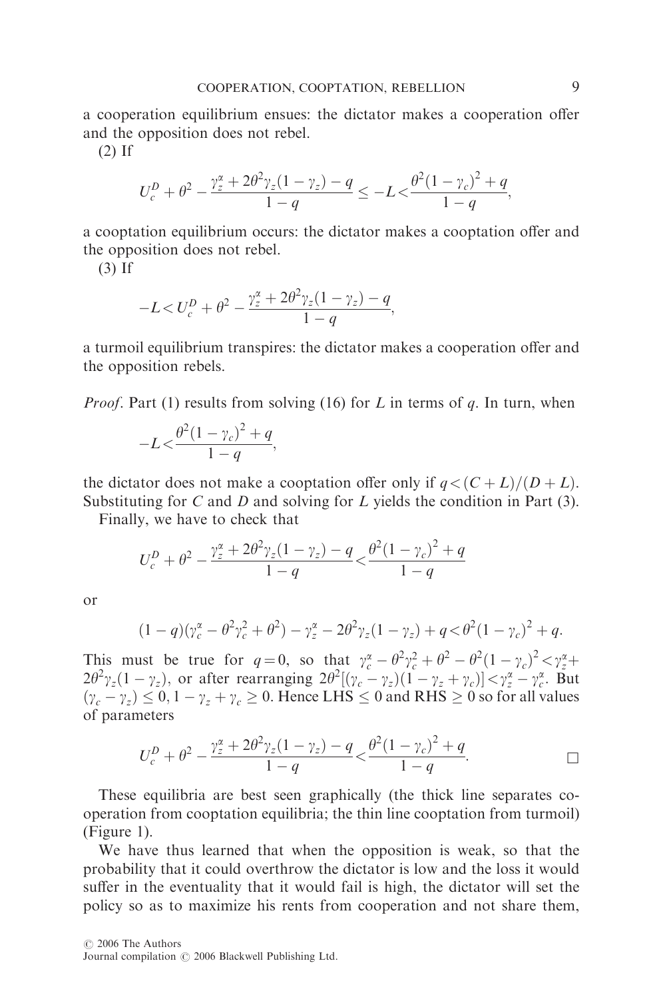a cooperation equilibrium ensues: the dictator makes a cooperation offer and the opposition does not rebel.

(2) If

$$
U_c^D + \theta^2 - \frac{\gamma_z^{\alpha} + 2\theta^2 \gamma_z (1 - \gamma_z) - q}{1 - q} \le -L < \frac{\theta^2 (1 - \gamma_c)^2 + q}{1 - q},
$$

a cooptation equilibrium occurs: the dictator makes a cooptation offer and the opposition does not rebel.

(3) If

$$
-L < U_c^D + \theta^2 - \frac{\gamma_z^{\alpha} + 2\theta^2 \gamma_z (1 - \gamma_z) - q}{1 - q},
$$

a turmoil equilibrium transpires: the dictator makes a cooperation offer and the opposition rebels.

*Proof.* Part (1) results from solving (16) for L in terms of q. In turn, when

$$
-L < \frac{\theta^2(1-\gamma_c)^2 + q}{1-q},
$$

the dictator does not make a cooptation offer only if  $q < (C + L)/(D + L)$ . Substituting for C and D and solving for L yields the condition in Part  $(3)$ .

Finally, we have to check that

$$
U_c^D + \theta^2 - \frac{\gamma_z^{\alpha} + 2\theta^2 \gamma_z (1 - \gamma_z) - q}{1 - q} < \frac{\theta^2 (1 - \gamma_c)^2 + q}{1 - q}
$$

or

$$
(1-q)(\gamma_c^{\alpha} - \theta^2 \gamma_c^2 + \theta^2) - \gamma_z^{\alpha} - 2\theta^2 \gamma_z (1-\gamma_z) + q < \theta^2 (1-\gamma_c)^2 + q.
$$

This must be true for  $q=0$ , so that  $\gamma_c^{\alpha} - \theta^2 \gamma_c^2 + \theta^2 - \theta^2 (1 - \gamma_c)^2 < \gamma_z^{\alpha} + \theta^2$  $2\theta^2\gamma_z(1-\gamma_z)$ , or after rearranging  $2\theta^2[(\gamma_c-\gamma_z)(1-\gamma_z+\gamma_c)]<\gamma_z^{\alpha}-\gamma_c^{\alpha}$ . But  $(\gamma_c - \gamma_z) \leq 0, 1 - \gamma_z + \gamma_c \geq 0.$  Hence LHS  $\leq 0$  and RHS  $\geq 0$  so for all values of parameters

$$
U_c^D + \theta^2 - \frac{\gamma_z^{\alpha} + 2\theta^2 \gamma_z (1 - \gamma_z) - q}{1 - q} < \frac{\theta^2 (1 - \gamma_c)^2 + q}{1 - q}.
$$

These equilibria are best seen graphically (the thick line separates cooperation from cooptation equilibria; the thin line cooptation from turmoil) (Figure 1).

We have thus learned that when the opposition is weak, so that the probability that it could overthrow the dictator is low and the loss it would suffer in the eventuality that it would fail is high, the dictator will set the policy so as to maximize his rents from cooperation and not share them,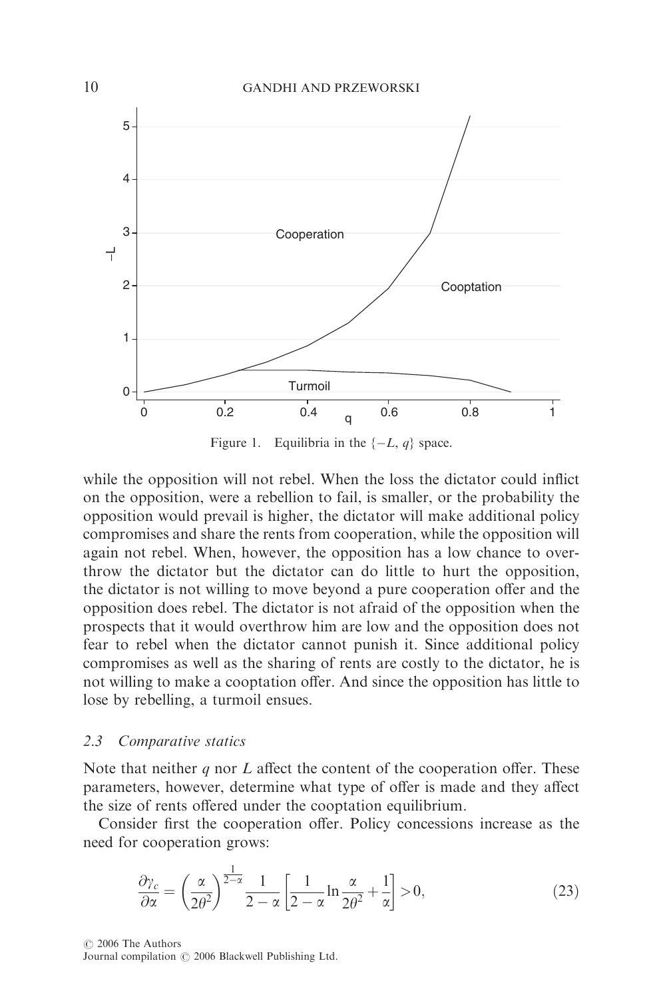

Figure 1. Equilibria in the  $\{-L, q\}$  space.

while the opposition will not rebel. When the loss the dictator could inflict on the opposition, were a rebellion to fail, is smaller, or the probability the opposition would prevail is higher, the dictator will make additional policy compromises and share the rents from cooperation, while the opposition will again not rebel. When, however, the opposition has a low chance to overthrow the dictator but the dictator can do little to hurt the opposition, the dictator is not willing to move beyond a pure cooperation offer and the opposition does rebel. The dictator is not afraid of the opposition when the prospects that it would overthrow him are low and the opposition does not fear to rebel when the dictator cannot punish it. Since additional policy compromises as well as the sharing of rents are costly to the dictator, he is not willing to make a cooptation offer. And since the opposition has little to lose by rebelling, a turmoil ensues.

# 2.3 Comparative statics

Note that neither q nor L affect the content of the cooperation offer. These parameters, however, determine what type of offer is made and they affect the size of rents offered under the cooptation equilibrium.

Consider first the cooperation offer. Policy concessions increase as the need for cooperation grows:

$$
\frac{\partial \gamma_c}{\partial \alpha} = \left(\frac{\alpha}{2\theta^2}\right)^{\frac{1}{2-\alpha}} \frac{1}{2-\alpha} \left[\frac{1}{2-\alpha} \ln \frac{\alpha}{2\theta^2} + \frac{1}{\alpha}\right] > 0,\tag{23}
$$

Journal compilation  $\odot$  2006 Blackwell Publishing Ltd.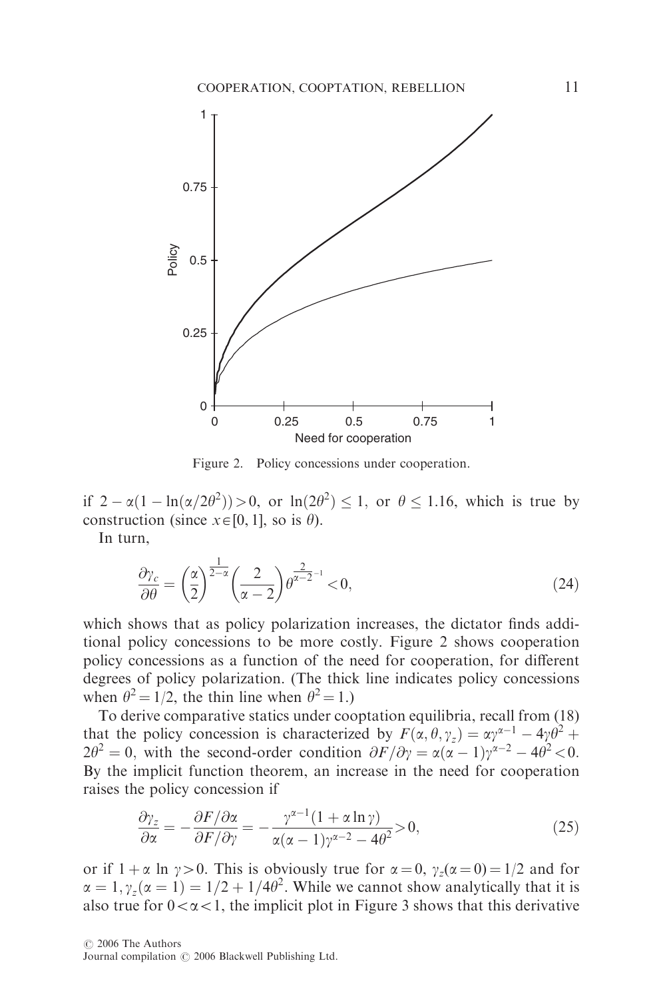

Figure 2. Policy concessions under cooperation.

if  $2 - \alpha(1 - \ln(\alpha/2\theta^2)) > 0$ , or  $\ln(2\theta^2) \le 1$ , or  $\theta \le 1.16$ , which is true by construction (since  $x \in [0, 1]$ , so is  $\theta$ ).

In turn,

$$
\frac{\partial \gamma_c}{\partial \theta} = \left(\frac{\alpha}{2}\right)^{\frac{1}{2-\alpha}} \left(\frac{2}{\alpha-2}\right) \theta^{\frac{2}{\alpha-2}-1} < 0,\tag{24}
$$

which shows that as policy polarization increases, the dictator finds additional policy concessions to be more costly. Figure 2 shows cooperation policy concessions as a function of the need for cooperation, for different degrees of policy polarization. (The thick line indicates policy concessions when  $\theta^2 = 1/2$ , the thin line when  $\theta^2 = 1$ .)

To derive comparative statics under cooptation equilibria, recall from (18) that the policy concession is characterized by  $F(\alpha, \theta, \gamma_z) = \alpha \gamma^{\alpha-1} - 4\gamma \theta^2 +$  $2\theta^2 = 0$ , with the second-order condition  $\partial F/\partial y = \alpha(\alpha - 1)y^{\alpha - 2} - 4\theta^2 < 0$ . By the implicit function theorem, an increase in the need for cooperation raises the policy concession if

$$
\frac{\partial \gamma_z}{\partial \alpha} = -\frac{\partial F/\partial \alpha}{\partial F/\partial \gamma} = -\frac{\gamma^{\alpha-1} (1 + \alpha \ln \gamma)}{\alpha(\alpha - 1)\gamma^{\alpha-2} - 4\theta^2} > 0,
$$
\n(25)

or if  $1 + \alpha \ln \gamma > 0$ . This is obviously true for  $\alpha = 0$ ,  $\gamma_z(\alpha = 0) = 1/2$  and for  $\alpha = 1, \gamma_z(\alpha = 1) = 1/2 + 1/4\theta^2$ . While we cannot show analytically that it is also true for  $0 < \alpha < 1$ , the implicit plot in Figure 3 shows that this derivative

 $\odot$  2006 The Authors Journal compilation  $\odot$  2006 Blackwell Publishing Ltd.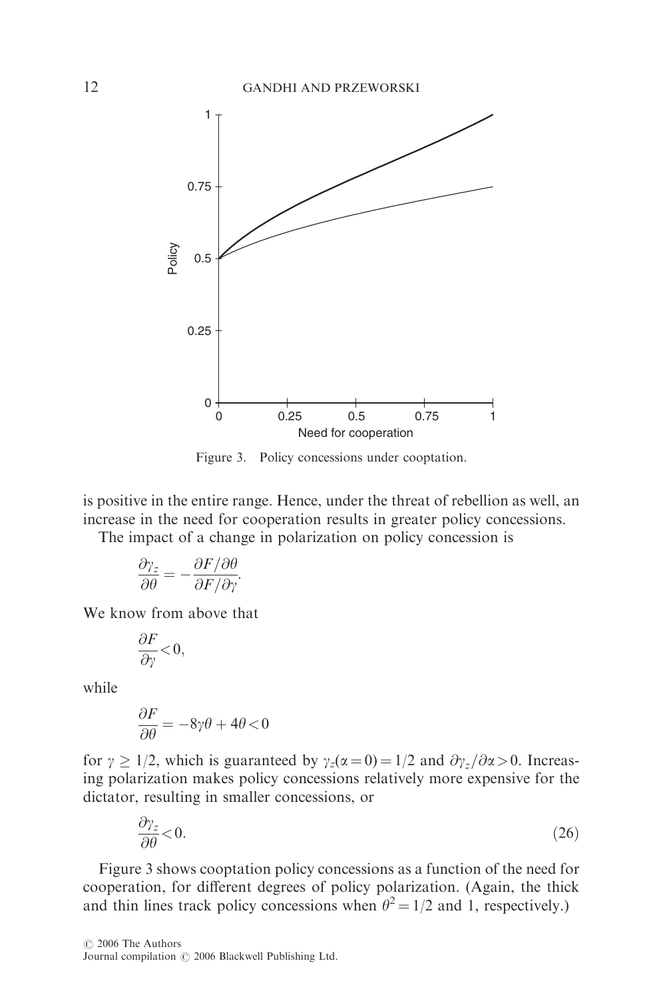

Figure 3. Policy concessions under cooptation.

is positive in the entire range. Hence, under the threat of rebellion as well, an increase in the need for cooperation results in greater policy concessions.

The impact of a change in polarization on policy concession is

$$
\frac{\partial \gamma_z}{\partial \theta} = -\frac{\partial F/\partial \theta}{\partial F/\partial \gamma}.
$$

We know from above that

$$
\frac{\partial F}{\partial \gamma}<0,
$$

while

$$
\frac{\partial F}{\partial \theta} = -8\gamma\theta + 4\theta < 0
$$

for  $\gamma \geq 1/2$ , which is guaranteed by  $\gamma_z(\alpha = 0) = 1/2$  and  $\partial \gamma_z/\partial \alpha > 0$ . Increasing polarization makes policy concessions relatively more expensive for the dictator, resulting in smaller concessions, or

$$
\frac{\partial \gamma_z}{\partial \theta} < 0. \tag{26}
$$

Figure 3 shows cooptation policy concessions as a function of the need for cooperation, for different degrees of policy polarization. (Again, the thick and thin lines track policy concessions when  $\theta^2 = 1/2$  and 1, respectively.)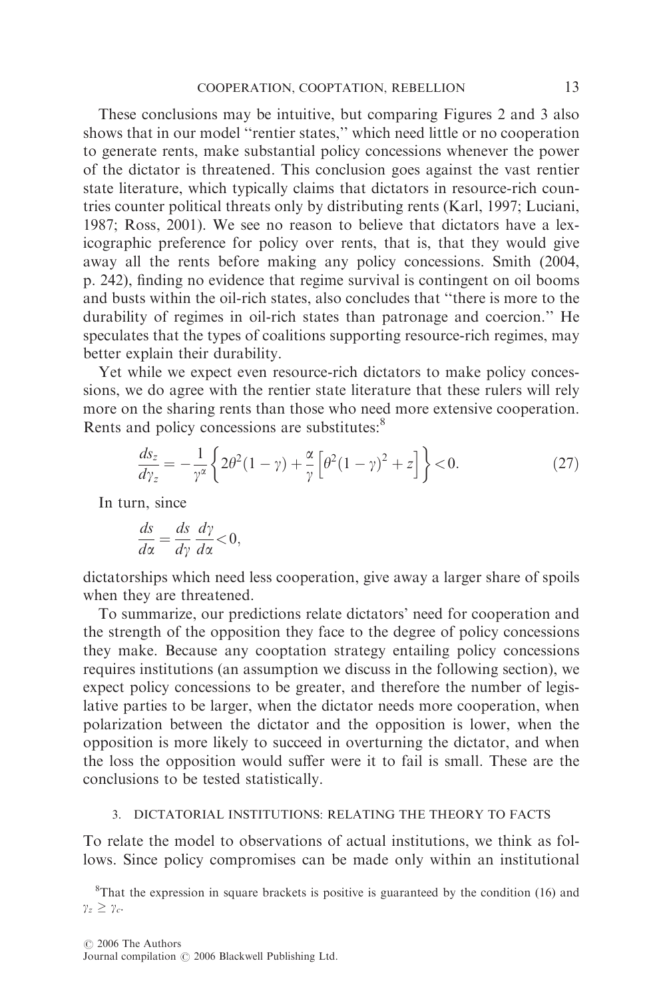These conclusions may be intuitive, but comparing Figures 2 and 3 also shows that in our model ''rentier states,'' which need little or no cooperation to generate rents, make substantial policy concessions whenever the power of the dictator is threatened. This conclusion goes against the vast rentier state literature, which typically claims that dictators in resource-rich countries counter political threats only by distributing rents (Karl, 1997; Luciani, 1987; Ross, 2001). We see no reason to believe that dictators have a lexicographic preference for policy over rents, that is, that they would give away all the rents before making any policy concessions. Smith (2004, p. 242), finding no evidence that regime survival is contingent on oil booms and busts within the oil-rich states, also concludes that ''there is more to the durability of regimes in oil-rich states than patronage and coercion.'' He speculates that the types of coalitions supporting resource-rich regimes, may better explain their durability.

Yet while we expect even resource-rich dictators to make policy concessions, we do agree with the rentier state literature that these rulers will rely more on the sharing rents than those who need more extensive cooperation. Rents and policy concessions are substitutes:<sup>8</sup>

$$
\frac{ds_z}{dy_z} = -\frac{1}{\gamma^{\alpha}} \left\{ 2\theta^2 (1-\gamma) + \frac{\alpha}{\gamma} \left[ \theta^2 (1-\gamma)^2 + z \right] \right\} < 0.
$$
 (27)

In turn, since

$$
\frac{ds}{d\alpha} = \frac{ds}{d\gamma} \frac{d\gamma}{d\alpha} < 0,
$$

dictatorships which need less cooperation, give away a larger share of spoils when they are threatened.

To summarize, our predictions relate dictators' need for cooperation and the strength of the opposition they face to the degree of policy concessions they make. Because any cooptation strategy entailing policy concessions requires institutions (an assumption we discuss in the following section), we expect policy concessions to be greater, and therefore the number of legislative parties to be larger, when the dictator needs more cooperation, when polarization between the dictator and the opposition is lower, when the opposition is more likely to succeed in overturning the dictator, and when the loss the opposition would suffer were it to fail is small. These are the conclusions to be tested statistically.

# 3. DICTATORIAL INSTITUTIONS: RELATING THE THEORY TO FACTS

To relate the model to observations of actual institutions, we think as follows. Since policy compromises can be made only within an institutional

<sup>&</sup>lt;sup>8</sup>That the expression in square brackets is positive is guaranteed by the condition (16) and  $\gamma_z \geq \gamma_c$ .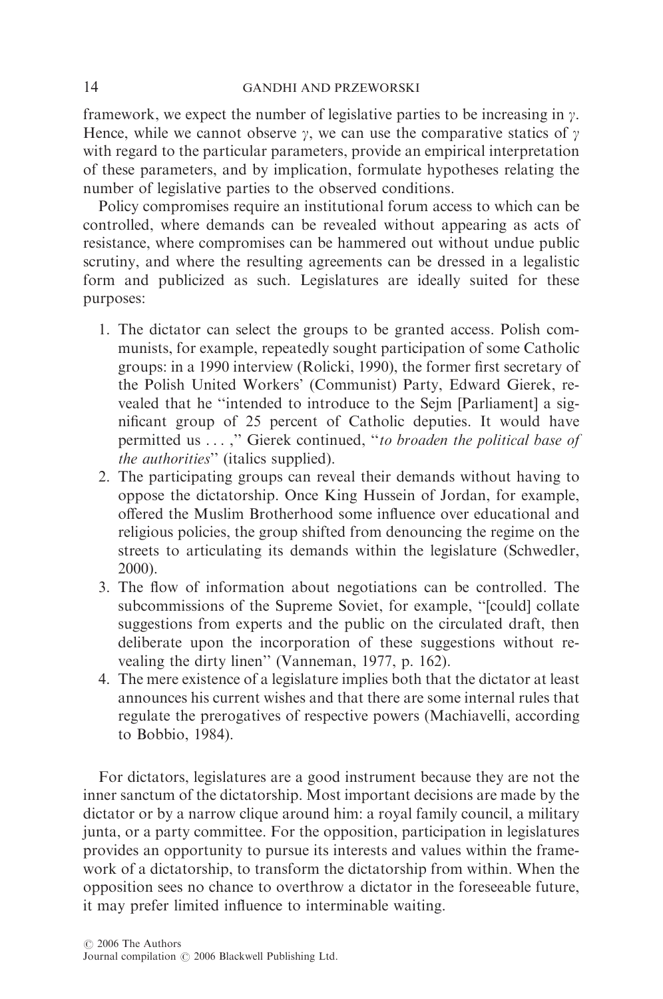# 14 GANDHI AND PRZEWORSKI

framework, we expect the number of legislative parties to be increasing in  $\gamma$ . Hence, while we cannot observe  $\gamma$ , we can use the comparative statics of  $\gamma$ with regard to the particular parameters, provide an empirical interpretation of these parameters, and by implication, formulate hypotheses relating the number of legislative parties to the observed conditions.

Policy compromises require an institutional forum access to which can be controlled, where demands can be revealed without appearing as acts of resistance, where compromises can be hammered out without undue public scrutiny, and where the resulting agreements can be dressed in a legalistic form and publicized as such. Legislatures are ideally suited for these purposes:

- 1. The dictator can select the groups to be granted access. Polish communists, for example, repeatedly sought participation of some Catholic groups: in a 1990 interview (Rolicki, 1990), the former first secretary of the Polish United Workers' (Communist) Party, Edward Gierek, revealed that he ''intended to introduce to the Sejm [Parliament] a significant group of 25 percent of Catholic deputies. It would have permitted us . . . ," Gierek continued, "to broaden the political base of the authorities'' (italics supplied).
- 2. The participating groups can reveal their demands without having to oppose the dictatorship. Once King Hussein of Jordan, for example, offered the Muslim Brotherhood some influence over educational and religious policies, the group shifted from denouncing the regime on the streets to articulating its demands within the legislature (Schwedler, 2000).
- 3. The flow of information about negotiations can be controlled. The subcommissions of the Supreme Soviet, for example, ''[could] collate suggestions from experts and the public on the circulated draft, then deliberate upon the incorporation of these suggestions without revealing the dirty linen'' (Vanneman, 1977, p. 162).
- 4. The mere existence of a legislature implies both that the dictator at least announces his current wishes and that there are some internal rules that regulate the prerogatives of respective powers (Machiavelli, according to Bobbio, 1984).

For dictators, legislatures are a good instrument because they are not the inner sanctum of the dictatorship. Most important decisions are made by the dictator or by a narrow clique around him: a royal family council, a military junta, or a party committee. For the opposition, participation in legislatures provides an opportunity to pursue its interests and values within the framework of a dictatorship, to transform the dictatorship from within. When the opposition sees no chance to overthrow a dictator in the foreseeable future, it may prefer limited influence to interminable waiting.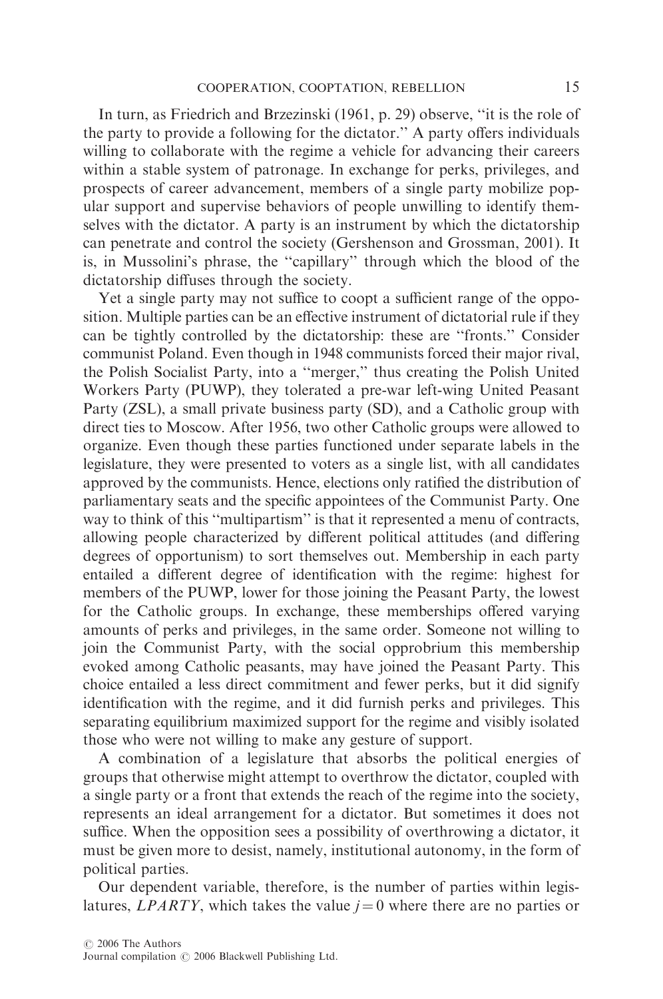In turn, as Friedrich and Brzezinski (1961, p. 29) observe, ''it is the role of the party to provide a following for the dictator.'' A party offers individuals willing to collaborate with the regime a vehicle for advancing their careers within a stable system of patronage. In exchange for perks, privileges, and prospects of career advancement, members of a single party mobilize popular support and supervise behaviors of people unwilling to identify themselves with the dictator. A party is an instrument by which the dictatorship can penetrate and control the society (Gershenson and Grossman, 2001). It is, in Mussolini's phrase, the ''capillary'' through which the blood of the dictatorship diffuses through the society.

Yet a single party may not suffice to coopt a sufficient range of the opposition. Multiple parties can be an effective instrument of dictatorial rule if they can be tightly controlled by the dictatorship: these are ''fronts.'' Consider communist Poland. Even though in 1948 communists forced their major rival, the Polish Socialist Party, into a ''merger,'' thus creating the Polish United Workers Party (PUWP), they tolerated a pre-war left-wing United Peasant Party (ZSL), a small private business party (SD), and a Catholic group with direct ties to Moscow. After 1956, two other Catholic groups were allowed to organize. Even though these parties functioned under separate labels in the legislature, they were presented to voters as a single list, with all candidates approved by the communists. Hence, elections only ratified the distribution of parliamentary seats and the specific appointees of the Communist Party. One way to think of this ''multipartism'' is that it represented a menu of contracts, allowing people characterized by different political attitudes (and differing degrees of opportunism) to sort themselves out. Membership in each party entailed a different degree of identification with the regime: highest for members of the PUWP, lower for those joining the Peasant Party, the lowest for the Catholic groups. In exchange, these memberships offered varying amounts of perks and privileges, in the same order. Someone not willing to join the Communist Party, with the social opprobrium this membership evoked among Catholic peasants, may have joined the Peasant Party. This choice entailed a less direct commitment and fewer perks, but it did signify identification with the regime, and it did furnish perks and privileges. This separating equilibrium maximized support for the regime and visibly isolated those who were not willing to make any gesture of support.

A combination of a legislature that absorbs the political energies of groups that otherwise might attempt to overthrow the dictator, coupled with a single party or a front that extends the reach of the regime into the society, represents an ideal arrangement for a dictator. But sometimes it does not suffice. When the opposition sees a possibility of overthrowing a dictator, it must be given more to desist, namely, institutional autonomy, in the form of political parties.

Our dependent variable, therefore, is the number of parties within legislatures, LPARTY, which takes the value  $j = 0$  where there are no parties or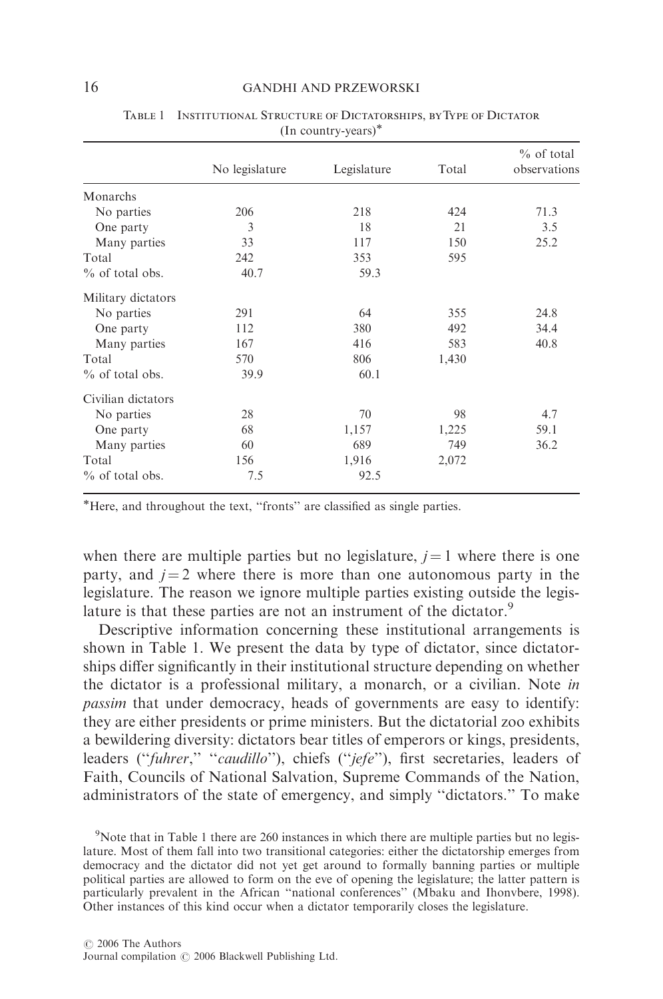|                    | No legislature | Legislature | Total | $%$ of total<br>observations |
|--------------------|----------------|-------------|-------|------------------------------|
| Monarchs           |                |             |       |                              |
| No parties         | 206            | 218         | 424   | 71.3                         |
| One party          | 3              | 18          | 21    | 3.5                          |
| Many parties       | 33             | 117         | 150   | 25.2                         |
| Total              | 242            | 353         | 595   |                              |
| % of total obs.    | 40.7           | 59.3        |       |                              |
| Military dictators |                |             |       |                              |
| No parties         | 291            | 64          | 355   | 24.8                         |
| One party          | 112            | 380         | 492   | 34.4                         |
| Many parties       | 167            | 416         | 583   | 40.8                         |
| Total              | 570            | 806         | 1,430 |                              |
| % of total obs.    | 39.9           | 60.1        |       |                              |
| Civilian dictators |                |             |       |                              |
| No parties         | 28             | 70          | 98    | 4.7                          |
| One party          | 68             | 1,157       | 1,225 | 59.1                         |
| Many parties       | 60             | 689         | 749   | 36.2                         |
| Total              | 156            | 1,916       | 2,072 |                              |
| % of total obs.    | 7.5            | 92.5        |       |                              |

Table 1 Institutional Structure of Dictatorships, byType of Dictator (In country-years)

Here, and throughout the text, ''fronts'' are classified as single parties.

when there are multiple parties but no legislature,  $j = 1$  where there is one party, and  $j = 2$  where there is more than one autonomous party in the legislature. The reason we ignore multiple parties existing outside the legislature is that these parties are not an instrument of the dictator.<sup>9</sup>

Descriptive information concerning these institutional arrangements is shown in Table 1. We present the data by type of dictator, since dictatorships differ significantly in their institutional structure depending on whether the dictator is a professional military, a monarch, or a civilian. Note in passim that under democracy, heads of governments are easy to identify: they are either presidents or prime ministers. But the dictatorial zoo exhibits a bewildering diversity: dictators bear titles of emperors or kings, presidents, leaders ("fuhrer," "caudillo"), chiefs ("jefe"), first secretaries, leaders of Faith, Councils of National Salvation, Supreme Commands of the Nation, administrators of the state of emergency, and simply ''dictators.'' To make

<sup>&</sup>lt;sup>9</sup>Note that in Table 1 there are 260 instances in which there are multiple parties but no legislature. Most of them fall into two transitional categories: either the dictatorship emerges from democracy and the dictator did not yet get around to formally banning parties or multiple political parties are allowed to form on the eve of opening the legislature; the latter pattern is particularly prevalent in the African ''national conferences'' (Mbaku and Ihonvbere, 1998). Other instances of this kind occur when a dictator temporarily closes the legislature.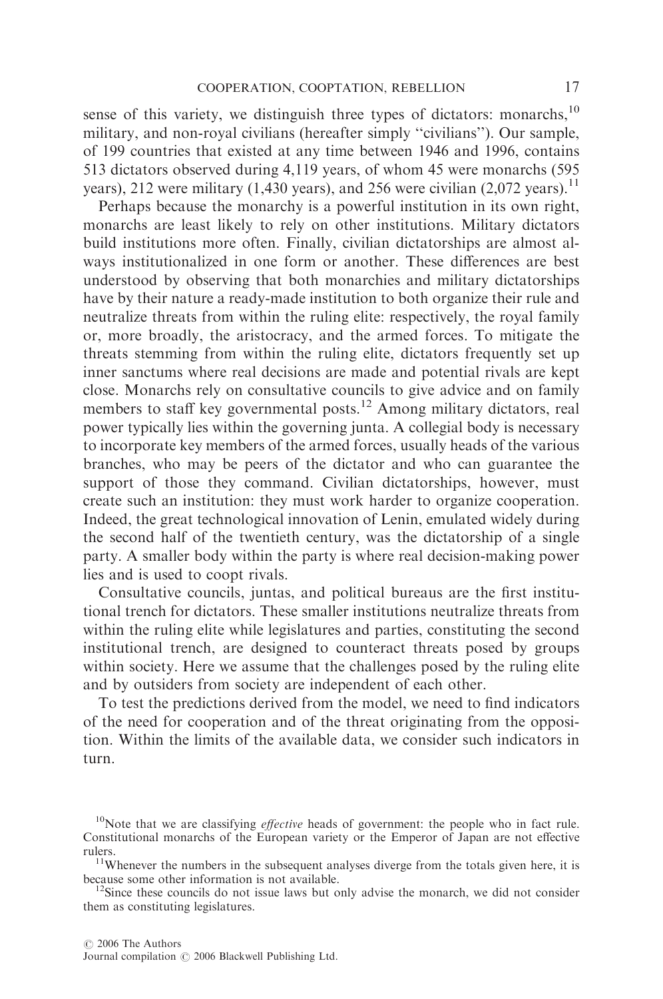sense of this variety, we distinguish three types of dictators: monarchs,<sup>10</sup> military, and non-royal civilians (hereafter simply ''civilians''). Our sample, of 199 countries that existed at any time between 1946 and 1996, contains 513 dictators observed during 4,119 years, of whom 45 were monarchs (595 years), 212 were military (1,430 years), and 256 were civilian (2,072 years).<sup>11</sup>

Perhaps because the monarchy is a powerful institution in its own right, monarchs are least likely to rely on other institutions. Military dictators build institutions more often. Finally, civilian dictatorships are almost always institutionalized in one form or another. These differences are best understood by observing that both monarchies and military dictatorships have by their nature a ready-made institution to both organize their rule and neutralize threats from within the ruling elite: respectively, the royal family or, more broadly, the aristocracy, and the armed forces. To mitigate the threats stemming from within the ruling elite, dictators frequently set up inner sanctums where real decisions are made and potential rivals are kept close. Monarchs rely on consultative councils to give advice and on family members to staff key governmental posts.<sup>12</sup> Among military dictators, real power typically lies within the governing junta. A collegial body is necessary to incorporate key members of the armed forces, usually heads of the various branches, who may be peers of the dictator and who can guarantee the support of those they command. Civilian dictatorships, however, must create such an institution: they must work harder to organize cooperation. Indeed, the great technological innovation of Lenin, emulated widely during the second half of the twentieth century, was the dictatorship of a single party. A smaller body within the party is where real decision-making power lies and is used to coopt rivals.

Consultative councils, juntas, and political bureaus are the first institutional trench for dictators. These smaller institutions neutralize threats from within the ruling elite while legislatures and parties, constituting the second institutional trench, are designed to counteract threats posed by groups within society. Here we assume that the challenges posed by the ruling elite and by outsiders from society are independent of each other.

To test the predictions derived from the model, we need to find indicators of the need for cooperation and of the threat originating from the opposition. Within the limits of the available data, we consider such indicators in turn.

 $10$ Note that we are classifying *effective* heads of government: the people who in fact rule. Constitutional monarchs of the European variety or the Emperor of Japan are not effective

rulers.<br><sup>11</sup>Whenever the numbers in the subsequent analyses diverge from the totals given here, it is because some other information is not available.

 $\frac{12}{2}$ Since these councils do not issue laws but only advise the monarch, we did not consider them as constituting legislatures.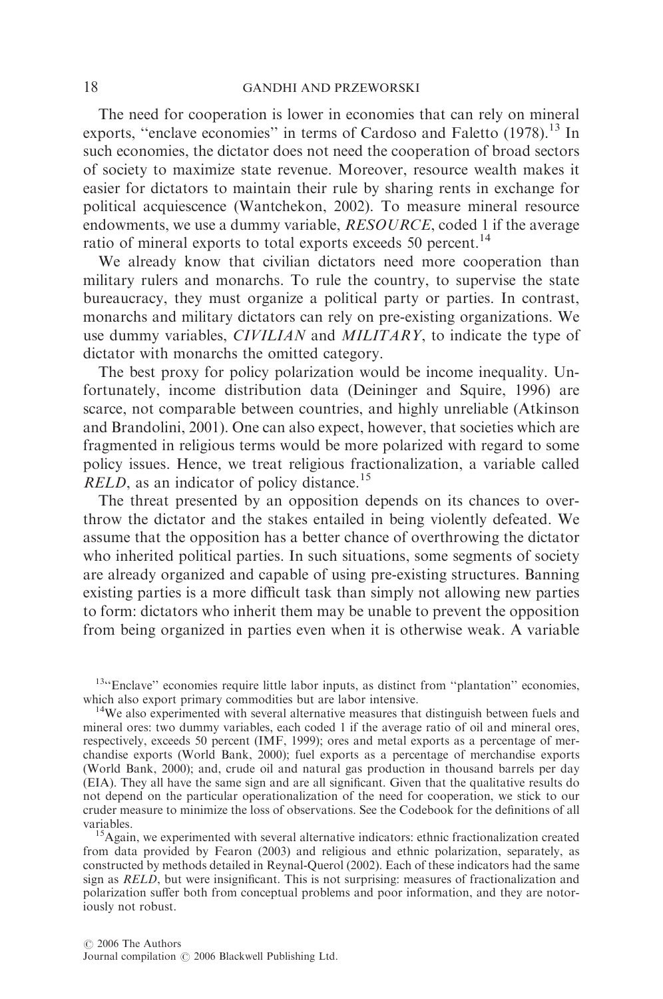### 18 GANDHI AND PRZEWORSKI

The need for cooperation is lower in economies that can rely on mineral exports, "enclave economies" in terms of Cardoso and Faletto (1978).<sup>13</sup> In such economies, the dictator does not need the cooperation of broad sectors of society to maximize state revenue. Moreover, resource wealth makes it easier for dictators to maintain their rule by sharing rents in exchange for political acquiescence (Wantchekon, 2002). To measure mineral resource endowments, we use a dummy variable, RESOURCE, coded 1 if the average ratio of mineral exports to total exports exceeds 50 percent.<sup>14</sup>

We already know that civilian dictators need more cooperation than military rulers and monarchs. To rule the country, to supervise the state bureaucracy, they must organize a political party or parties. In contrast, monarchs and military dictators can rely on pre-existing organizations. We use dummy variables, *CIVILIAN* and *MILITARY*, to indicate the type of dictator with monarchs the omitted category.

The best proxy for policy polarization would be income inequality. Unfortunately, income distribution data (Deininger and Squire, 1996) are scarce, not comparable between countries, and highly unreliable (Atkinson and Brandolini, 2001). One can also expect, however, that societies which are fragmented in religious terms would be more polarized with regard to some policy issues. Hence, we treat religious fractionalization, a variable called RELD, as an indicator of policy distance.<sup>15</sup>

The threat presented by an opposition depends on its chances to overthrow the dictator and the stakes entailed in being violently defeated. We assume that the opposition has a better chance of overthrowing the dictator who inherited political parties. In such situations, some segments of society are already organized and capable of using pre-existing structures. Banning existing parties is a more difficult task than simply not allowing new parties to form: dictators who inherit them may be unable to prevent the opposition from being organized in parties even when it is otherwise weak. A variable

 $13$ <sup>4</sup>Enclave'' economies require little labor inputs, as distinct from "plantation" economies, which also export primary commodities but are labor intensive.

 $14$ We also experimented with several alternative measures that distinguish between fuels and mineral ores: two dummy variables, each coded 1 if the average ratio of oil and mineral ores, respectively, exceeds 50 percent (IMF, 1999); ores and metal exports as a percentage of merchandise exports (World Bank, 2000); fuel exports as a percentage of merchandise exports (World Bank, 2000); and, crude oil and natural gas production in thousand barrels per day (EIA). They all have the same sign and are all significant. Given that the qualitative results do not depend on the particular operationalization of the need for cooperation, we stick to our cruder measure to minimize the loss of observations. See the Codebook for the definitions of all variables. 15Again, we experimented with several alternative indicators: ethnic fractionalization created

from data provided by Fearon (2003) and religious and ethnic polarization, separately, as constructed by methods detailed in Reynal-Querol (2002). Each of these indicators had the same sign as RELD, but were insignificant. This is not surprising: measures of fractionalization and polarization suffer both from conceptual problems and poor information, and they are notoriously not robust.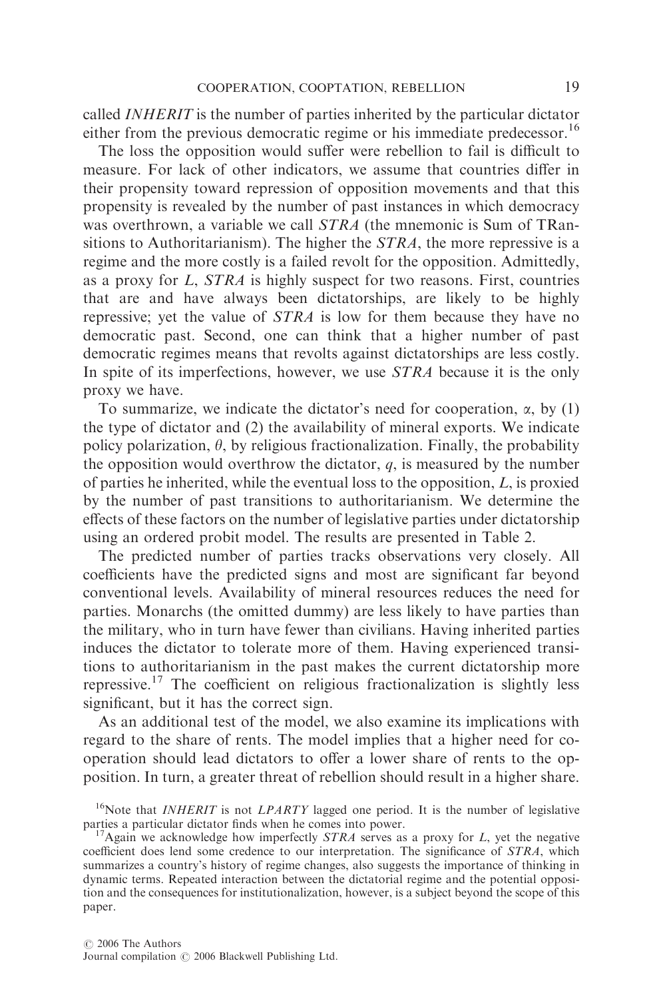called INHERIT is the number of parties inherited by the particular dictator either from the previous democratic regime or his immediate predecessor.<sup>16</sup>

The loss the opposition would suffer were rebellion to fail is difficult to measure. For lack of other indicators, we assume that countries differ in their propensity toward repression of opposition movements and that this propensity is revealed by the number of past instances in which democracy was overthrown, a variable we call *STRA* (the mnemonic is Sum of TRansitions to Authoritarianism). The higher the STRA, the more repressive is a regime and the more costly is a failed revolt for the opposition. Admittedly, as a proxy for L, STRA is highly suspect for two reasons. First, countries that are and have always been dictatorships, are likely to be highly repressive; yet the value of STRA is low for them because they have no democratic past. Second, one can think that a higher number of past democratic regimes means that revolts against dictatorships are less costly. In spite of its imperfections, however, we use *STRA* because it is the only proxy we have.

To summarize, we indicate the dictator's need for cooperation,  $\alpha$ , by (1) the type of dictator and (2) the availability of mineral exports. We indicate policy polarization,  $\theta$ , by religious fractionalization. Finally, the probability the opposition would overthrow the dictator,  $q$ , is measured by the number of parties he inherited, while the eventual loss to the opposition, L, is proxied by the number of past transitions to authoritarianism. We determine the effects of these factors on the number of legislative parties under dictatorship using an ordered probit model. The results are presented in Table 2.

The predicted number of parties tracks observations very closely. All coefficients have the predicted signs and most are significant far beyond conventional levels. Availability of mineral resources reduces the need for parties. Monarchs (the omitted dummy) are less likely to have parties than the military, who in turn have fewer than civilians. Having inherited parties induces the dictator to tolerate more of them. Having experienced transitions to authoritarianism in the past makes the current dictatorship more repressive.<sup>17</sup> The coefficient on religious fractionalization is slightly less significant, but it has the correct sign.

As an additional test of the model, we also examine its implications with regard to the share of rents. The model implies that a higher need for cooperation should lead dictators to offer a lower share of rents to the opposition. In turn, a greater threat of rebellion should result in a higher share.

<sup>&</sup>lt;sup>16</sup>Note that *INHERIT* is not *LPARTY* lagged one period. It is the number of legislative parties a particular dictator finds when he comes into power.

<sup>&</sup>lt;sup>17</sup>Again we acknowledge how imperfectly *STRA* serves as a proxy for L, yet the negative coefficient does lend some credence to our interpretation. The significance of STRA, which summarizes a country's history of regime changes, also suggests the importance of thinking in dynamic terms. Repeated interaction between the dictatorial regime and the potential opposition and the consequences for institutionalization, however, is a subject beyond the scope of this paper.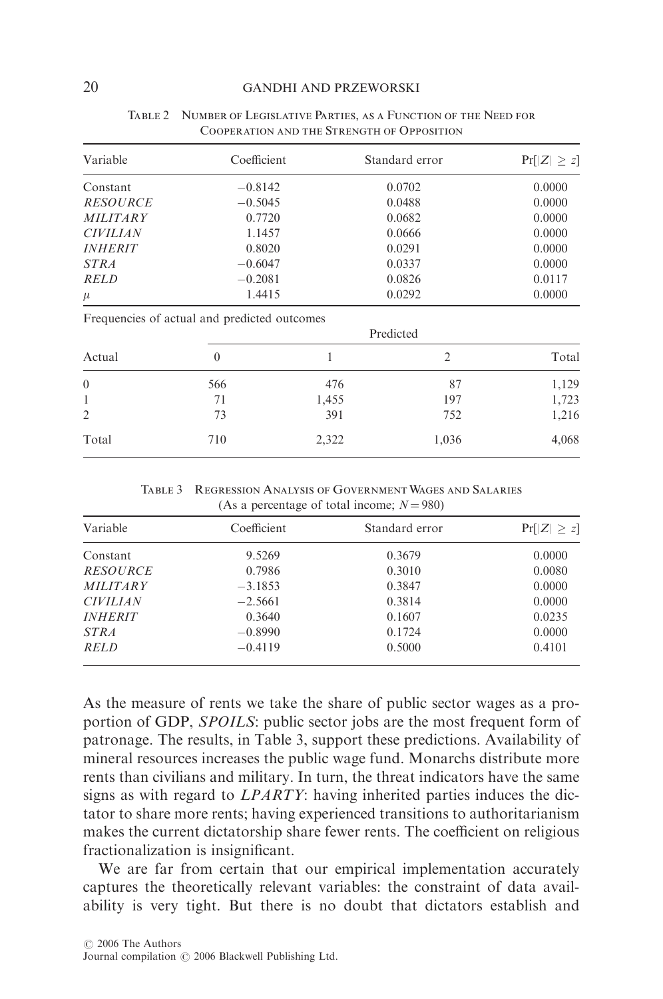#### 20 GANDHI AND PRZEWORSKI

| Variable        | Coefficient | Standard error | Pr[ Z  > z] |
|-----------------|-------------|----------------|-------------|
| Constant        | $-0.8142$   | 0.0702         | 0.0000      |
| <b>RESOURCE</b> | $-0.5045$   | 0.0488         | 0.0000      |
| <i>MILITARY</i> | 0.7720      | 0.0682         | 0.0000      |
| <b>CIVILIAN</b> | 1.1457      | 0.0666         | 0.0000      |
| <b>INHERIT</b>  | 0.8020      | 0.0291         | 0.0000      |
| <b>STRA</b>     | $-0.6047$   | 0.0337         | 0.0000      |
| <i>RELD</i>     | $-0.2081$   | 0.0826         | 0.0117      |
| $\mu$           | 1.4415      | 0.0292         | 0.0000      |

| TABLE 2 NUMBER OF LEGISLATIVE PARTIES, AS A FUNCTION OF THE NEED FOR |
|----------------------------------------------------------------------|
| COOPERATION AND THE STRENGTH OF OPPOSITION                           |

Frequencies of actual and predicted outcomes

| Actual   | Predicted |       |       |       |
|----------|-----------|-------|-------|-------|
|          | 0         |       |       | Total |
| $\theta$ | 566       | 476   | 87    | 1,129 |
| 1        | 71        | 1,455 | 197   | 1,723 |
| 2        | 73        | 391   | 752   | 1,216 |
| Total    | 710       | 2,322 | 1,036 | 4,068 |

TABLE 3 REGRESSION ANALYSIS OF GOVERNMENT WAGES AND SALARIES (As a percentage of total income;  $N = 980$ )

| Variable        | Coefficient | Standard error | Pr[ Z  > z] |
|-----------------|-------------|----------------|-------------|
| Constant        | 9.5269      | 0.3679         | 0.0000      |
| <b>RESOURCE</b> | 0.7986      | 0.3010         | 0.0080      |
| <i>MILITARY</i> | $-3.1853$   | 0.3847         | 0.0000      |
| <b>CIVILIAN</b> | $-2.5661$   | 0.3814         | 0.0000      |
| <b>INHERIT</b>  | 0.3640      | 0.1607         | 0.0235      |
| <b>STRA</b>     | $-0.8990$   | 0.1724         | 0.0000      |
| <b>RELD</b>     | $-0.4119$   | 0.5000         | 0.4101      |

As the measure of rents we take the share of public sector wages as a proportion of GDP, SPOILS: public sector jobs are the most frequent form of patronage. The results, in Table 3, support these predictions. Availability of mineral resources increases the public wage fund. Monarchs distribute more rents than civilians and military. In turn, the threat indicators have the same signs as with regard to LPARTY: having inherited parties induces the dictator to share more rents; having experienced transitions to authoritarianism makes the current dictatorship share fewer rents. The coefficient on religious fractionalization is insignificant.

We are far from certain that our empirical implementation accurately captures the theoretically relevant variables: the constraint of data availability is very tight. But there is no doubt that dictators establish and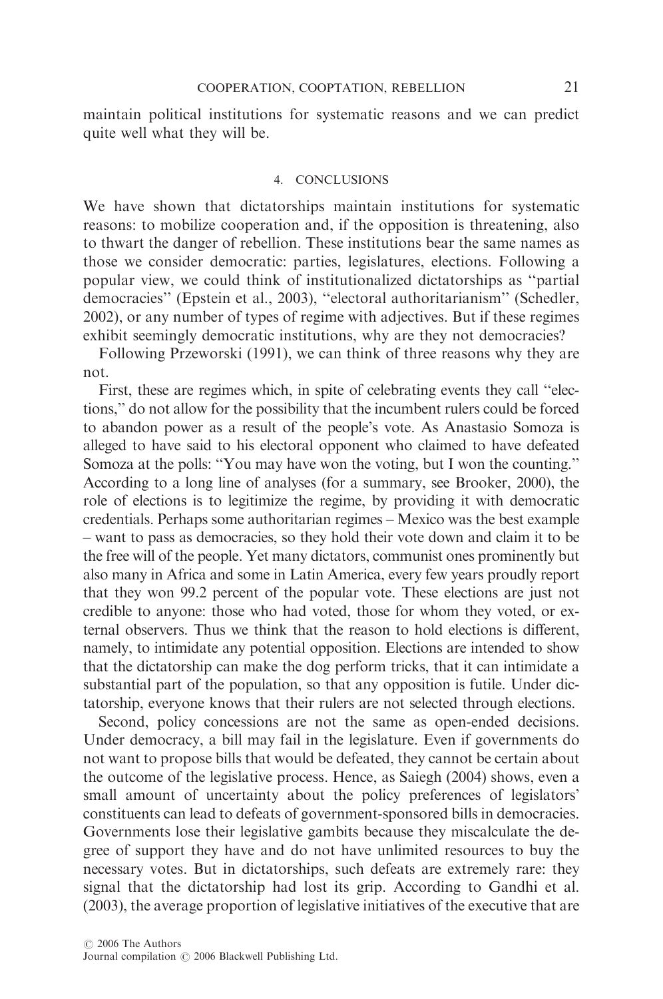maintain political institutions for systematic reasons and we can predict quite well what they will be.

#### 4. CONCLUSIONS

We have shown that dictatorships maintain institutions for systematic reasons: to mobilize cooperation and, if the opposition is threatening, also to thwart the danger of rebellion. These institutions bear the same names as those we consider democratic: parties, legislatures, elections. Following a popular view, we could think of institutionalized dictatorships as ''partial democracies'' (Epstein et al., 2003), ''electoral authoritarianism'' (Schedler, 2002), or any number of types of regime with adjectives. But if these regimes exhibit seemingly democratic institutions, why are they not democracies?

Following Przeworski (1991), we can think of three reasons why they are not.

First, these are regimes which, in spite of celebrating events they call ''elections,'' do not allow for the possibility that the incumbent rulers could be forced to abandon power as a result of the people's vote. As Anastasio Somoza is alleged to have said to his electoral opponent who claimed to have defeated Somoza at the polls: ''You may have won the voting, but I won the counting.'' According to a long line of analyses (for a summary, see Brooker, 2000), the role of elections is to legitimize the regime, by providing it with democratic credentials. Perhaps some authoritarian regimes – Mexico was the best example – want to pass as democracies, so they hold their vote down and claim it to be the free will of the people. Yet many dictators, communist ones prominently but also many in Africa and some in Latin America, every few years proudly report that they won 99.2 percent of the popular vote. These elections are just not credible to anyone: those who had voted, those for whom they voted, or external observers. Thus we think that the reason to hold elections is different, namely, to intimidate any potential opposition. Elections are intended to show that the dictatorship can make the dog perform tricks, that it can intimidate a substantial part of the population, so that any opposition is futile. Under dictatorship, everyone knows that their rulers are not selected through elections.

Second, policy concessions are not the same as open-ended decisions. Under democracy, a bill may fail in the legislature. Even if governments do not want to propose bills that would be defeated, they cannot be certain about the outcome of the legislative process. Hence, as Saiegh (2004) shows, even a small amount of uncertainty about the policy preferences of legislators' constituents can lead to defeats of government-sponsored bills in democracies. Governments lose their legislative gambits because they miscalculate the degree of support they have and do not have unlimited resources to buy the necessary votes. But in dictatorships, such defeats are extremely rare: they signal that the dictatorship had lost its grip. According to Gandhi et al. (2003), the average proportion of legislative initiatives of the executive that are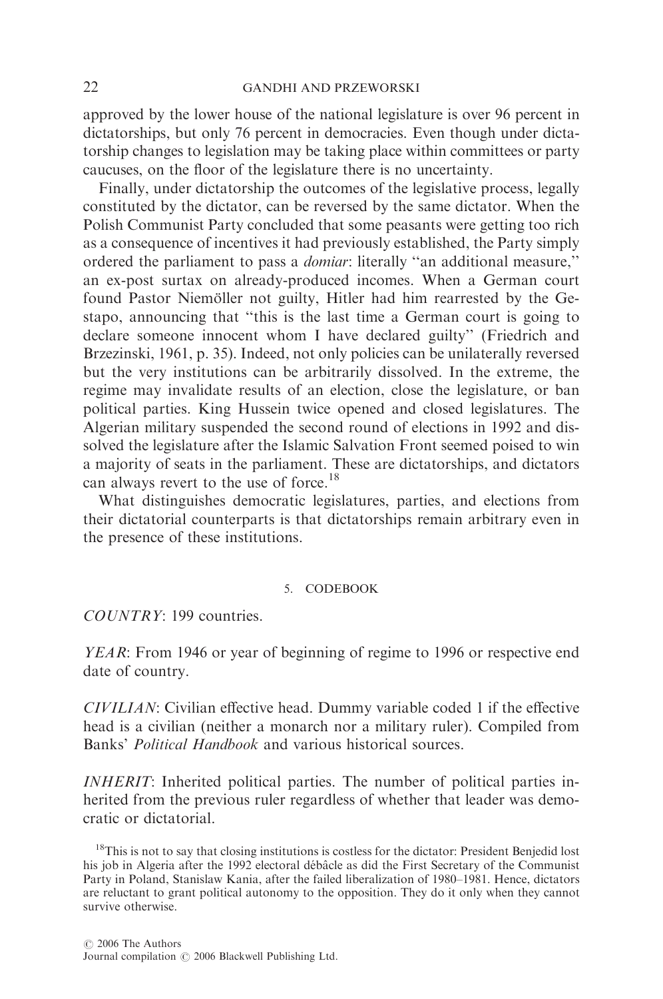### 22 GANDHI AND PRZEWORSKI

approved by the lower house of the national legislature is over 96 percent in dictatorships, but only 76 percent in democracies. Even though under dictatorship changes to legislation may be taking place within committees or party caucuses, on the floor of the legislature there is no uncertainty.

Finally, under dictatorship the outcomes of the legislative process, legally constituted by the dictator, can be reversed by the same dictator. When the Polish Communist Party concluded that some peasants were getting too rich as a consequence of incentives it had previously established, the Party simply ordered the parliament to pass a domiar: literally ''an additional measure,'' an ex-post surtax on already-produced incomes. When a German court found Pastor Niemöller not guilty, Hitler had him rearrested by the Gestapo, announcing that ''this is the last time a German court is going to declare someone innocent whom I have declared guilty'' (Friedrich and Brzezinski, 1961, p. 35). Indeed, not only policies can be unilaterally reversed but the very institutions can be arbitrarily dissolved. In the extreme, the regime may invalidate results of an election, close the legislature, or ban political parties. King Hussein twice opened and closed legislatures. The Algerian military suspended the second round of elections in 1992 and dissolved the legislature after the Islamic Salvation Front seemed poised to win a majority of seats in the parliament. These are dictatorships, and dictators can always revert to the use of force.<sup>18</sup>

What distinguishes democratic legislatures, parties, and elections from their dictatorial counterparts is that dictatorships remain arbitrary even in the presence of these institutions.

#### 5. CODEBOOK

COUNTRY: 199 countries.

YEAR: From 1946 or year of beginning of regime to 1996 or respective end date of country.

CIVILIAN: Civilian effective head. Dummy variable coded 1 if the effective head is a civilian (neither a monarch nor a military ruler). Compiled from Banks' Political Handbook and various historical sources.

INHERIT: Inherited political parties. The number of political parties inherited from the previous ruler regardless of whether that leader was democratic or dictatorial.

<sup>18</sup>This is not to say that closing institutions is costless for the dictator: President Benjedid lost his job in Algeria after the 1992 electoral débâcle as did the First Secretary of the Communist Party in Poland, Stanislaw Kania, after the failed liberalization of 1980–1981. Hence, dictators are reluctant to grant political autonomy to the opposition. They do it only when they cannot survive otherwise.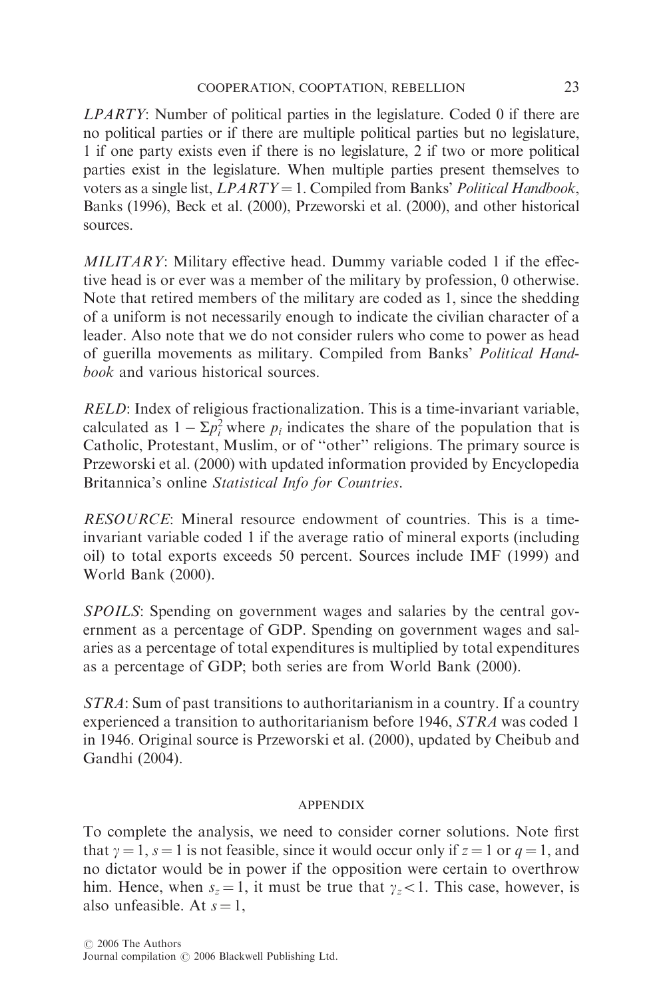LPARTY: Number of political parties in the legislature. Coded 0 if there are no political parties or if there are multiple political parties but no legislature, 1 if one party exists even if there is no legislature, 2 if two or more political parties exist in the legislature. When multiple parties present themselves to voters as a single list,  $LPARTY = 1$ . Compiled from Banks' *Political Handbook*, Banks (1996), Beck et al. (2000), Przeworski et al. (2000), and other historical sources.

MILITARY: Military effective head. Dummy variable coded 1 if the effective head is or ever was a member of the military by profession, 0 otherwise. Note that retired members of the military are coded as 1, since the shedding of a uniform is not necessarily enough to indicate the civilian character of a leader. Also note that we do not consider rulers who come to power as head of guerilla movements as military. Compiled from Banks' Political Handbook and various historical sources.

RELD: Index of religious fractionalization. This is a time-invariant variable, calculated as  $1 - \Sigma p_i^2$  where  $p_i$  indicates the share of the population that is Catholic, Protestant, Muslim, or of ''other'' religions. The primary source is Przeworski et al. (2000) with updated information provided by Encyclopedia Britannica's online Statistical Info for Countries.

RESOURCE: Mineral resource endowment of countries. This is a timeinvariant variable coded 1 if the average ratio of mineral exports (including oil) to total exports exceeds 50 percent. Sources include IMF (1999) and World Bank (2000).

SPOILS: Spending on government wages and salaries by the central government as a percentage of GDP. Spending on government wages and salaries as a percentage of total expenditures is multiplied by total expenditures as a percentage of GDP; both series are from World Bank (2000).

STRA: Sum of past transitions to authoritarianism in a country. If a country experienced a transition to authoritarianism before 1946, STRA was coded 1 in 1946. Original source is Przeworski et al. (2000), updated by Cheibub and Gandhi (2004).

# APPENDIX

To complete the analysis, we need to consider corner solutions. Note first that  $\gamma = 1$ ,  $s = 1$  is not feasible, since it would occur only if  $z = 1$  or  $q = 1$ , and no dictator would be in power if the opposition were certain to overthrow him. Hence, when  $s_z = 1$ , it must be true that  $\gamma_z < 1$ . This case, however, is also unfeasible. At  $s = 1$ ,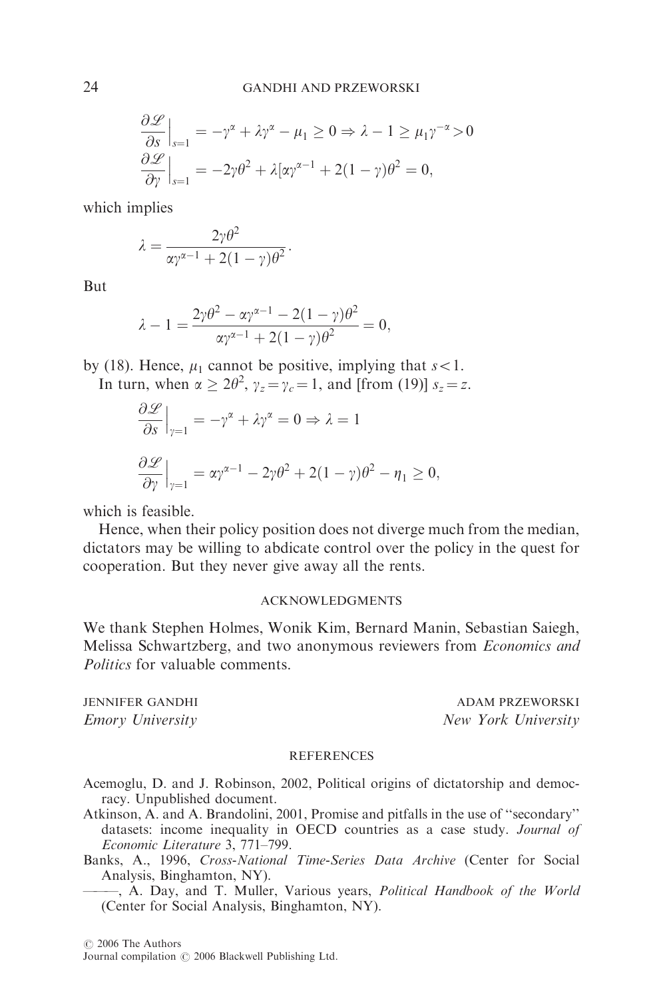$$
\frac{\partial \mathcal{L}}{\partial s}\Big|_{s=1} = -\gamma^{\alpha} + \lambda \gamma^{\alpha} - \mu_1 \ge 0 \Rightarrow \lambda - 1 \ge \mu_1 \gamma^{-\alpha} > 0
$$
  

$$
\frac{\partial \mathcal{L}}{\partial \gamma}\Big|_{s=1} = -2\gamma \theta^2 + \lambda [\alpha \gamma^{\alpha-1} + 2(1-\gamma)\theta^2 = 0,
$$

which implies

$$
\lambda = \frac{2\gamma\theta^2}{\alpha\gamma^{\alpha-1} + 2(1-\gamma)\theta^2}.
$$

But

$$
\lambda - 1 = \frac{2\gamma\theta^2 - \alpha\gamma^{\alpha - 1} - 2(1 - \gamma)\theta^2}{\alpha\gamma^{\alpha - 1} + 2(1 - \gamma)\theta^2} = 0,
$$

by (18). Hence,  $\mu_1$  cannot be positive, implying that  $s < 1$ .

In turn, when  $\alpha \ge 2\theta^2$ ,  $\gamma_z = \gamma_c = 1$ , and [from (19)]  $s_z = z$ .

$$
\frac{\partial \mathcal{L}}{\partial s}\Big|_{\gamma=1} = -\gamma^{\alpha} + \lambda \gamma^{\alpha} = 0 \Rightarrow \lambda = 1
$$
  

$$
\frac{\partial \mathcal{L}}{\partial \gamma}\Big|_{\gamma=1} = \alpha \gamma^{\alpha-1} - 2\gamma \theta^2 + 2(1-\gamma)\theta^2 - \eta_1 \ge 0,
$$

which is feasible.

Hence, when their policy position does not diverge much from the median, dictators may be willing to abdicate control over the policy in the quest for cooperation. But they never give away all the rents.

### ACKNOWLEDGMENTS

We thank Stephen Holmes, Wonik Kim, Bernard Manin, Sebastian Saiegh, Melissa Schwartzberg, and two anonymous reviewers from Economics and Politics for valuable comments.

JENNIFER GANDHI ADAM PRZEWORSKI Emory University **New York University** New York University

#### **REFERENCES**

Acemoglu, D. and J. Robinson, 2002, Political origins of dictatorship and democracy. Unpublished document.

Atkinson, A. and A. Brandolini, 2001, Promise and pitfalls in the use of ''secondary'' datasets: income inequality in OECD countries as a case study. Journal of Economic Literature 3, 771–799.

Banks, A., 1996, Cross-National Time-Series Data Archive (Center for Social Analysis, Binghamton, NY).

———, A. Day, and T. Muller, Various years, Political Handbook of the World (Center for Social Analysis, Binghamton, NY).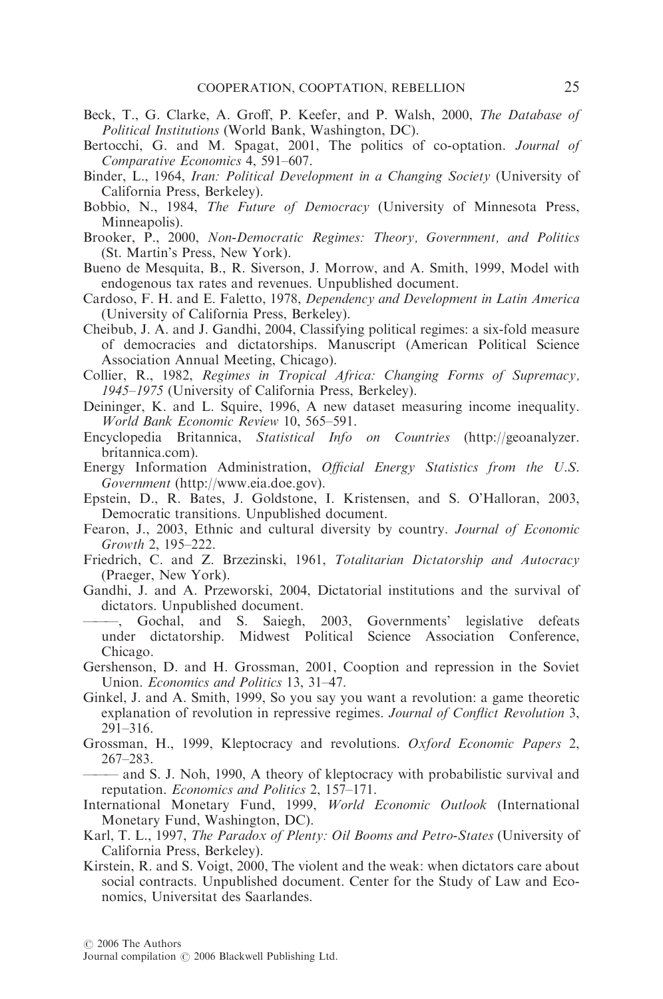- Beck, T., G. Clarke, A. Groff, P. Keefer, and P. Walsh, 2000, The Database of Political Institutions (World Bank, Washington, DC).
- Bertocchi, G. and M. Spagat, 2001, The politics of co-optation. Journal of Comparative Economics 4, 591–607.
- Binder, L., 1964, Iran: Political Development in a Changing Society (University of California Press, Berkeley).
- Bobbio, N., 1984, The Future of Democracy (University of Minnesota Press, Minneapolis).
- Brooker, P., 2000, Non-Democratic Regimes: Theory, Government, and Politics (St. Martin's Press, New York).
- Bueno de Mesquita, B., R. Siverson, J. Morrow, and A. Smith, 1999, Model with endogenous tax rates and revenues. Unpublished document.
- Cardoso, F. H. and E. Faletto, 1978, Dependency and Development in Latin America (University of California Press, Berkeley).
- Cheibub, J. A. and J. Gandhi, 2004, Classifying political regimes: a six-fold measure of democracies and dictatorships. Manuscript (American Political Science Association Annual Meeting, Chicago).
- Collier, R., 1982, Regimes in Tropical Africa: Changing Forms of Supremacy, 1945–1975 (University of California Press, Berkeley).
- Deininger, K. and L. Squire, 1996, A new dataset measuring income inequality. World Bank Economic Review 10, 565–591.
- Encyclopedia Britannica, Statistical Info on Countries (http://geoanalyzer. britannica.com).
- Energy Information Administration, Official Energy Statistics from the U.S. Government (http://www.eia.doe.gov).
- Epstein, D., R. Bates, J. Goldstone, I. Kristensen, and S. O'Halloran, 2003, Democratic transitions. Unpublished document.
- Fearon, J., 2003, Ethnic and cultural diversity by country. Journal of Economic Growth 2, 195–222.
- Friedrich, C. and Z. Brzezinski, 1961, Totalitarian Dictatorship and Autocracy (Praeger, New York).
- Gandhi, J. and A. Przeworski, 2004, Dictatorial institutions and the survival of dictators. Unpublished document.
- ———, Gochal, and S. Saiegh, 2003, Governments' legislative defeats under dictatorship. Midwest Political Science Association Conference, Chicago.
- Gershenson, D. and H. Grossman, 2001, Cooption and repression in the Soviet Union. Economics and Politics 13, 31–47.
- Ginkel, J. and A. Smith, 1999, So you say you want a revolution: a game theoretic explanation of revolution in repressive regimes. Journal of Conflict Revolution 3, 291–316.
- Grossman, H., 1999, Kleptocracy and revolutions. Oxford Economic Papers 2, 267–283.

——— and S. J. Noh, 1990, A theory of kleptocracy with probabilistic survival and reputation. Economics and Politics 2, 157–171.

- International Monetary Fund, 1999, World Economic Outlook (International Monetary Fund, Washington, DC).
- Karl, T. L., 1997, The Paradox of Plenty: Oil Booms and Petro-States (University of California Press, Berkeley).
- Kirstein, R. and S. Voigt, 2000, The violent and the weak: when dictators care about social contracts. Unpublished document. Center for the Study of Law and Economics, Universitat des Saarlandes.